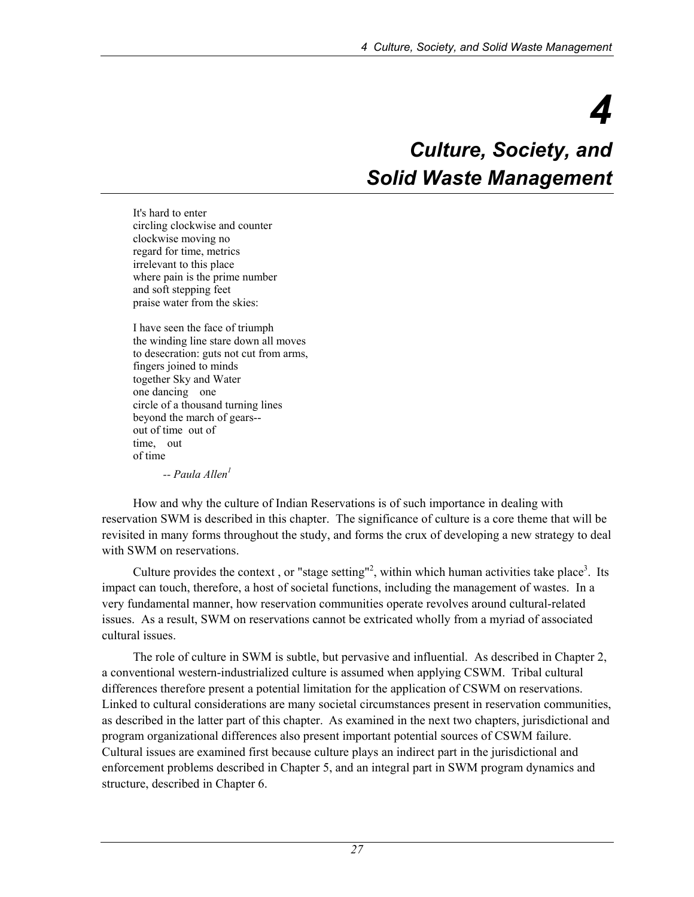# *4*

# *Culture, Society, and Solid Waste Management*

It's hard to enter circling clockwise and counter clockwise moving no regard for time, metrics irrelevant to this place where pain is the prime number and soft stepping feet praise water from the skies:

I have seen the face of triumph the winding line stare down all moves to desecration: guts not cut from arms, fingers joined to minds together Sky and Water one dancing one circle of a thousand turning lines beyond the march of gears- out of time out of time, out of time

 *-- Paula Allen<sup>1</sup>*

How and why the culture of Indian Reservations is of such importance in dealing with reservation SWM is described in this chapter. The significance of culture is a core theme that will be revisited in many forms throughout the study, and forms the crux of developing a new strategy to deal with SWM on reservations.

Culture provides the context, or "stage setting"<sup>2</sup>, within which human activities take place<sup>3</sup>. Its impact can touch, therefore, a host of societal functions, including the management of wastes. In a very fundamental manner, how reservation communities operate revolves around cultural-related issues. As a result, SWM on reservations cannot be extricated wholly from a myriad of associated cultural issues.

The role of culture in SWM is subtle, but pervasive and influential. As described in Chapter 2, a conventional western-industrialized culture is assumed when applying CSWM. Tribal cultural differences therefore present a potential limitation for the application of CSWM on reservations. Linked to cultural considerations are many societal circumstances present in reservation communities, as described in the latter part of this chapter. As examined in the next two chapters, jurisdictional and program organizational differences also present important potential sources of CSWM failure. Cultural issues are examined first because culture plays an indirect part in the jurisdictional and enforcement problems described in Chapter 5, and an integral part in SWM program dynamics and structure, described in Chapter 6.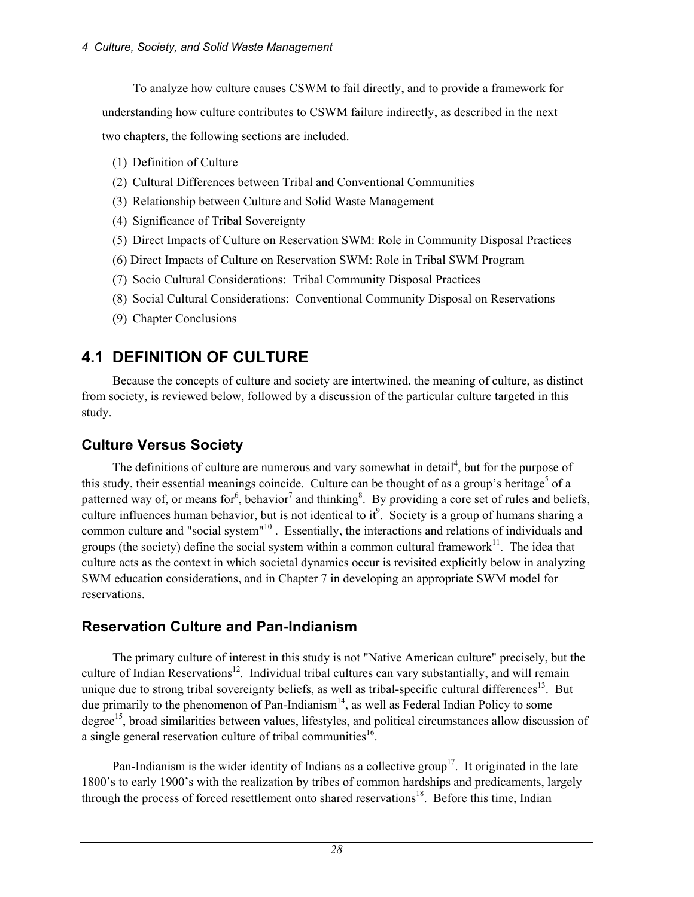To analyze how culture causes CSWM to fail directly, and to provide a framework for

understanding how culture contributes to CSWM failure indirectly, as described in the next two chapters, the following sections are included.

- (1) Definition of Culture
- (2) Cultural Differences between Tribal and Conventional Communities
- (3) Relationship between Culture and Solid Waste Management
- (4) Significance of Tribal Sovereignty
- (5) Direct Impacts of Culture on Reservation SWM: Role in Community Disposal Practices
- (6) Direct Impacts of Culture on Reservation SWM: Role in Tribal SWM Program
- (7) Socio Cultural Considerations: Tribal Community Disposal Practices
- (8) Social Cultural Considerations: Conventional Community Disposal on Reservations
- (9) Chapter Conclusions

# **4.1 DEFINITION OF CULTURE**

Because the concepts of culture and society are intertwined, the meaning of culture, as distinct from society, is reviewed below, followed by a discussion of the particular culture targeted in this study.

# **Culture Versus Society**

The definitions of culture are numerous and vary somewhat in detail<sup>4</sup>, but for the purpose of this study, their essential meanings coincide. Culture can be thought of as a group's heritage<sup>5</sup> of a patterned way of, or means for<sup>6</sup>, behavior<sup>7</sup> and thinking<sup>8</sup>. By providing a core set of rules and beliefs, culture influences human behavior, but is not identical to it<sup>9</sup>. Society is a group of humans sharing a common culture and "social system"10 . Essentially, the interactions and relations of individuals and groups (the society) define the social system within a common cultural framework $^{11}$ . The idea that culture acts as the context in which societal dynamics occur is revisited explicitly below in analyzing SWM education considerations, and in Chapter 7 in developing an appropriate SWM model for reservations.

# **Reservation Culture and Pan-Indianism**

The primary culture of interest in this study is not "Native American culture" precisely, but the culture of Indian Reservations<sup>12</sup>. Individual tribal cultures can vary substantially, and will remain unique due to strong tribal sovereignty beliefs, as well as tribal-specific cultural differences<sup>13</sup>. But due primarily to the phenomenon of Pan-Indianism<sup>14</sup>, as well as Federal Indian Policy to some degree<sup>15</sup>, broad similarities between values, lifestyles, and political circumstances allow discussion of a single general reservation culture of tribal communities<sup>16</sup>.

Pan-Indianism is the wider identity of Indians as a collective group<sup>17</sup>. It originated in the late 1800's to early 1900's with the realization by tribes of common hardships and predicaments, largely through the process of forced resettlement onto shared reservations<sup>18</sup>. Before this time, Indian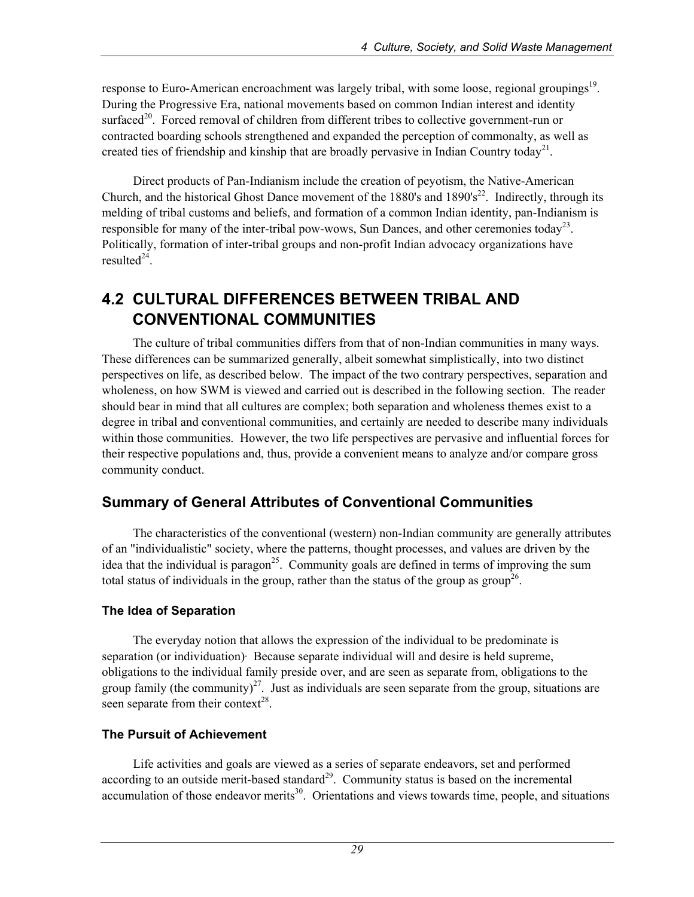response to Euro-American encroachment was largely tribal, with some loose, regional groupings<sup>19</sup>. During the Progressive Era, national movements based on common Indian interest and identity surfaced<sup>20</sup>. Forced removal of children from different tribes to collective government-run or contracted boarding schools strengthened and expanded the perception of commonalty, as well as created ties of friendship and kinship that are broadly pervasive in Indian Country today<sup>21</sup>.

Direct products of Pan-Indianism include the creation of peyotism, the Native-American Church, and the historical Ghost Dance movement of the 1880's and 1890's<sup>22</sup>. Indirectly, through its melding of tribal customs and beliefs, and formation of a common Indian identity, pan-Indianism is responsible for many of the inter-tribal pow-wows, Sun Dances, and other ceremonies today<sup>23</sup>. Politically, formation of inter-tribal groups and non-profit Indian advocacy organizations have resulted $^{24}$ .

# **4.2 CULTURAL DIFFERENCES BETWEEN TRIBAL AND CONVENTIONAL COMMUNITIES**

The culture of tribal communities differs from that of non-Indian communities in many ways. These differences can be summarized generally, albeit somewhat simplistically, into two distinct perspectives on life, as described below. The impact of the two contrary perspectives, separation and wholeness, on how SWM is viewed and carried out is described in the following section. The reader should bear in mind that all cultures are complex; both separation and wholeness themes exist to a degree in tribal and conventional communities, and certainly are needed to describe many individuals within those communities. However, the two life perspectives are pervasive and influential forces for their respective populations and, thus, provide a convenient means to analyze and/or compare gross community conduct.

# **Summary of General Attributes of Conventional Communities**

The characteristics of the conventional (western) non-Indian community are generally attributes of an "individualistic" society, where the patterns, thought processes, and values are driven by the idea that the individual is paragon<sup>25</sup>. Community goals are defined in terms of improving the sum total status of individuals in the group, rather than the status of the group as group<sup>26</sup>.

#### **The Idea of Separation**

The everyday notion that allows the expression of the individual to be predominate is separation (or individuation) Because separate individual will and desire is held supreme, obligations to the individual family preside over, and are seen as separate from, obligations to the group family (the community)<sup>27</sup>. Just as individuals are seen separate from the group, situations are seen separate from their context<sup>28</sup>.

#### **The Pursuit of Achievement**

Life activities and goals are viewed as a series of separate endeavors, set and performed according to an outside merit-based standard<sup>29</sup>. Community status is based on the incremental accumulation of those endeavor merits $30$ . Orientations and views towards time, people, and situations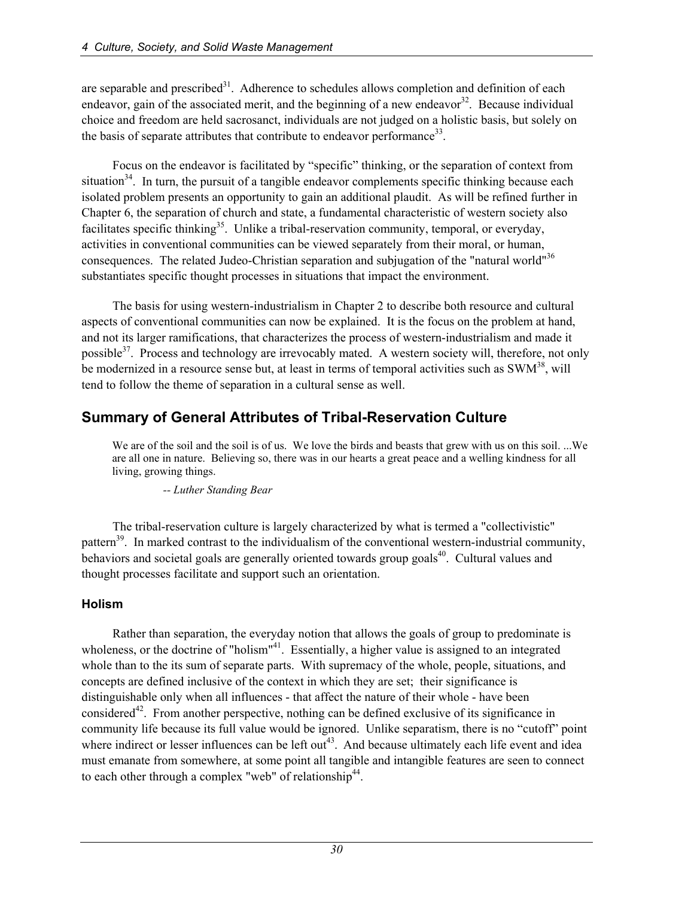are separable and prescribed $31$ . Adherence to schedules allows completion and definition of each endeavor, gain of the associated merit, and the beginning of a new endeavor<sup>32</sup>. Because individual choice and freedom are held sacrosanct, individuals are not judged on a holistic basis, but solely on the basis of separate attributes that contribute to endeavor performance<sup>33</sup>.

Focus on the endeavor is facilitated by "specific" thinking, or the separation of context from situation $34$ . In turn, the pursuit of a tangible endeavor complements specific thinking because each isolated problem presents an opportunity to gain an additional plaudit. As will be refined further in Chapter 6, the separation of church and state, a fundamental characteristic of western society also facilitates specific thinking<sup>35</sup>. Unlike a tribal-reservation community, temporal, or everyday, activities in conventional communities can be viewed separately from their moral, or human, consequences. The related Judeo-Christian separation and subjugation of the "natural world"36 substantiates specific thought processes in situations that impact the environment.

The basis for using western-industrialism in Chapter 2 to describe both resource and cultural aspects of conventional communities can now be explained. It is the focus on the problem at hand, and not its larger ramifications, that characterizes the process of western-industrialism and made it possible<sup>37</sup>. Process and technology are irrevocably mated. A western society will, therefore, not only be modernized in a resource sense but, at least in terms of temporal activities such as SWM<sup>38</sup>, will tend to follow the theme of separation in a cultural sense as well.

# **Summary of General Attributes of Tribal-Reservation Culture**

We are of the soil and the soil is of us. We love the birds and beasts that grew with us on this soil. ...We are all one in nature. Believing so, there was in our hearts a great peace and a welling kindness for all living, growing things.

 *-- Luther Standing Bear* 

The tribal-reservation culture is largely characterized by what is termed a "collectivistic" pattern<sup>39</sup>. In marked contrast to the individualism of the conventional western-industrial community, behaviors and societal goals are generally oriented towards group goals<sup>40</sup>. Cultural values and thought processes facilitate and support such an orientation.

#### **Holism**

Rather than separation, the everyday notion that allows the goals of group to predominate is wholeness, or the doctrine of "holism"<sup>41</sup>. Essentially, a higher value is assigned to an integrated whole than to the its sum of separate parts. With supremacy of the whole, people, situations, and concepts are defined inclusive of the context in which they are set; their significance is distinguishable only when all influences - that affect the nature of their whole - have been considered<sup>42</sup>. From another perspective, nothing can be defined exclusive of its significance in community life because its full value would be ignored. Unlike separatism, there is no "cutoff" point where indirect or lesser influences can be left out<sup>43</sup>. And because ultimately each life event and idea must emanate from somewhere, at some point all tangible and intangible features are seen to connect to each other through a complex "web" of relationship<sup>44</sup>.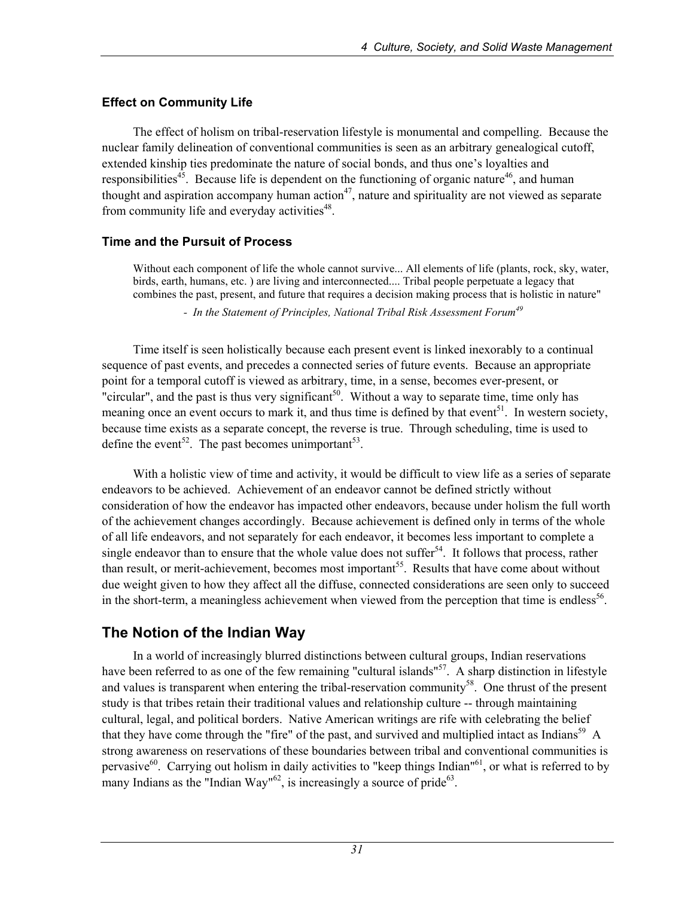#### **Effect on Community Life**

The effect of holism on tribal-reservation lifestyle is monumental and compelling. Because the nuclear family delineation of conventional communities is seen as an arbitrary genealogical cutoff, extended kinship ties predominate the nature of social bonds, and thus one's loyalties and responsibilities<sup>45</sup>. Because life is dependent on the functioning of organic nature<sup>46</sup>, and human thought and aspiration accompany human action<sup>47</sup>, nature and spirituality are not viewed as separate from community life and everyday activities $48$ .

#### **Time and the Pursuit of Process**

Without each component of life the whole cannot survive... All elements of life (plants, rock, sky, water, birds, earth, humans, etc. ) are living and interconnected.... Tribal people perpetuate a legacy that combines the past, present, and future that requires a decision making process that is holistic in nature"

- In the Statement of Principles, National Tribal Risk Assessment Forum<sup>49</sup>

Time itself is seen holistically because each present event is linked inexorably to a continual sequence of past events, and precedes a connected series of future events. Because an appropriate point for a temporal cutoff is viewed as arbitrary, time, in a sense, becomes ever-present, or "circular", and the past is thus very significant<sup>50</sup>. Without a way to separate time, time only has meaning once an event occurs to mark it, and thus time is defined by that event<sup>51</sup>. In western society, because time exists as a separate concept, the reverse is true. Through scheduling, time is used to define the event<sup>52</sup>. The past becomes unimportant<sup>53</sup>.

With a holistic view of time and activity, it would be difficult to view life as a series of separate endeavors to be achieved. Achievement of an endeavor cannot be defined strictly without consideration of how the endeavor has impacted other endeavors, because under holism the full worth of the achievement changes accordingly. Because achievement is defined only in terms of the whole of all life endeavors, and not separately for each endeavor, it becomes less important to complete a single endeavor than to ensure that the whole value does not suffer<sup>54</sup>. It follows that process, rather than result, or merit-achievement, becomes most important<sup>55</sup>. Results that have come about without due weight given to how they affect all the diffuse, connected considerations are seen only to succeed in the short-term, a meaningless achievement when viewed from the perception that time is endless<sup>56</sup>.

# **The Notion of the Indian Way**

In a world of increasingly blurred distinctions between cultural groups, Indian reservations have been referred to as one of the few remaining "cultural islands"<sup>57</sup>. A sharp distinction in lifestyle and values is transparent when entering the tribal-reservation community<sup>58</sup>. One thrust of the present study is that tribes retain their traditional values and relationship culture -- through maintaining cultural, legal, and political borders. Native American writings are rife with celebrating the belief that they have come through the "fire" of the past, and survived and multiplied intact as Indians<sup>59</sup> A strong awareness on reservations of these boundaries between tribal and conventional communities is pervasive<sup>60</sup>. Carrying out holism in daily activities to "keep things Indian"<sup>61</sup>, or what is referred to by many Indians as the "Indian Way"<sup>62</sup>, is increasingly a source of pride<sup>63</sup>.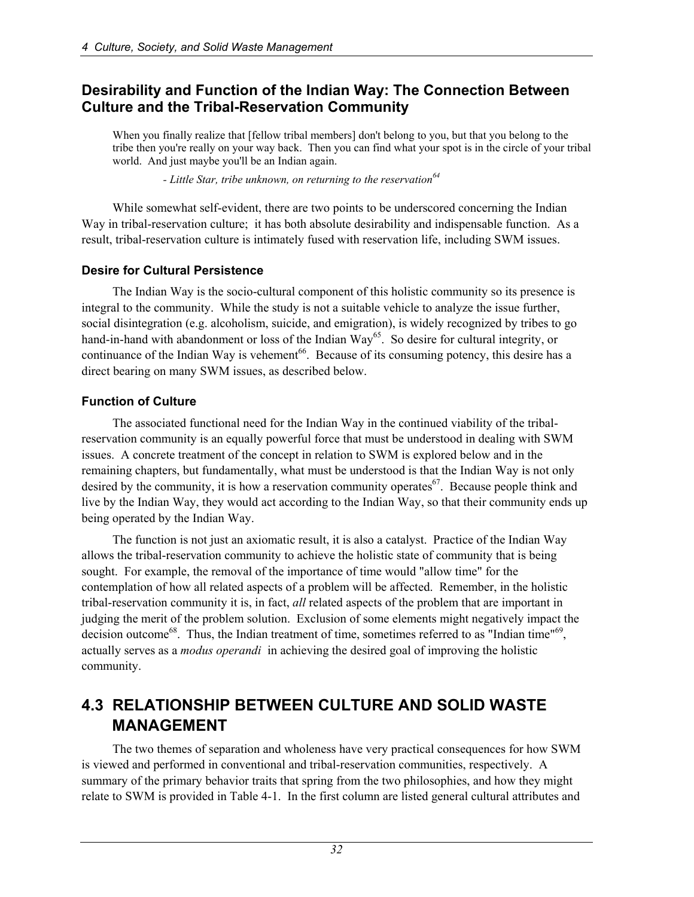#### **Desirability and Function of the Indian Way: The Connection Between Culture and the Tribal-Reservation Community**

When you finally realize that [fellow tribal members] don't belong to you, but that you belong to the tribe then you're really on your way back. Then you can find what your spot is in the circle of your tribal world. And just maybe you'll be an Indian again.

*- Little Star, tribe unknown, on returning to the reservation*<sup>64</sup>

While somewhat self-evident, there are two points to be underscored concerning the Indian Way in tribal-reservation culture; it has both absolute desirability and indispensable function. As a result, tribal-reservation culture is intimately fused with reservation life, including SWM issues.

#### **Desire for Cultural Persistence**

The Indian Way is the socio-cultural component of this holistic community so its presence is integral to the community. While the study is not a suitable vehicle to analyze the issue further, social disintegration (e.g. alcoholism, suicide, and emigration), is widely recognized by tribes to go hand-in-hand with abandonment or loss of the Indian  $\text{Wav}^6$ . So desire for cultural integrity, or continuance of the Indian Way is vehement<sup>66</sup>. Because of its consuming potency, this desire has a direct bearing on many SWM issues, as described below.

#### **Function of Culture**

The associated functional need for the Indian Way in the continued viability of the tribalreservation community is an equally powerful force that must be understood in dealing with SWM issues. A concrete treatment of the concept in relation to SWM is explored below and in the remaining chapters, but fundamentally, what must be understood is that the Indian Way is not only desired by the community, it is how a reservation community operates<sup>67</sup>. Because people think and live by the Indian Way, they would act according to the Indian Way, so that their community ends up being operated by the Indian Way.

The function is not just an axiomatic result, it is also a catalyst. Practice of the Indian Way allows the tribal-reservation community to achieve the holistic state of community that is being sought. For example, the removal of the importance of time would "allow time" for the contemplation of how all related aspects of a problem will be affected. Remember, in the holistic tribal-reservation community it is, in fact, *all* related aspects of the problem that are important in judging the merit of the problem solution. Exclusion of some elements might negatively impact the decision outcome<sup>68</sup>. Thus, the Indian treatment of time, sometimes referred to as "Indian time"<sup>69</sup>, actually serves as a *modus operandi* in achieving the desired goal of improving the holistic community.

# **4.3 RELATIONSHIP BETWEEN CULTURE AND SOLID WASTE MANAGEMENT**

The two themes of separation and wholeness have very practical consequences for how SWM is viewed and performed in conventional and tribal-reservation communities, respectively. A summary of the primary behavior traits that spring from the two philosophies, and how they might relate to SWM is provided in Table 4-1. In the first column are listed general cultural attributes and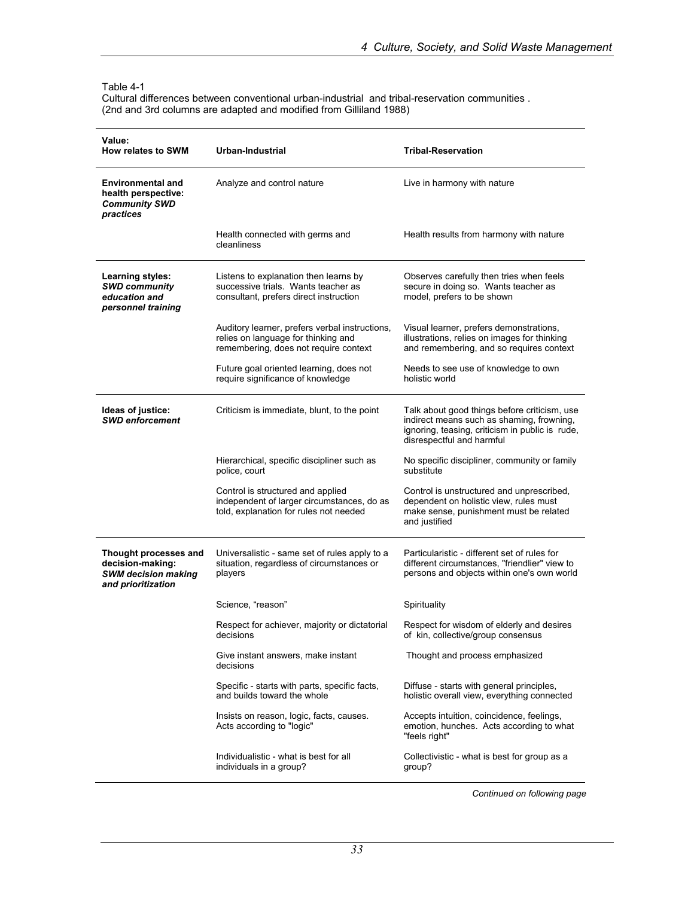#### Table 4-1

Cultural differences between conventional urban-industrial and tribal-reservation communities . (2nd and 3rd columns are adapted and modified from Gilliland 1988)

| <b>Value:</b><br><b>How relates to SWM</b>                                                    | Urban-Industrial                                                                                                               | <b>Tribal-Reservation</b>                                                                                                                                                 |
|-----------------------------------------------------------------------------------------------|--------------------------------------------------------------------------------------------------------------------------------|---------------------------------------------------------------------------------------------------------------------------------------------------------------------------|
| <b>Environmental and</b><br>health perspective:<br><b>Community SWD</b><br>practices          | Analyze and control nature                                                                                                     | Live in harmony with nature                                                                                                                                               |
|                                                                                               | Health connected with germs and<br>cleanliness                                                                                 | Health results from harmony with nature                                                                                                                                   |
| Learning styles:<br><b>SWD community</b><br>education and<br>personnel training               | Listens to explanation then learns by<br>successive trials. Wants teacher as<br>consultant, prefers direct instruction         | Observes carefully then tries when feels<br>secure in doing so. Wants teacher as<br>model, prefers to be shown                                                            |
|                                                                                               | Auditory learner, prefers verbal instructions,<br>relies on language for thinking and<br>remembering, does not require context | Visual learner, prefers demonstrations,<br>illustrations, relies on images for thinking<br>and remembering, and so requires context                                       |
|                                                                                               | Future goal oriented learning, does not<br>require significance of knowledge                                                   | Needs to see use of knowledge to own<br>holistic world                                                                                                                    |
| Ideas of justice:<br><b>SWD enforcement</b>                                                   | Criticism is immediate, blunt, to the point                                                                                    | Talk about good things before criticism, use<br>indirect means such as shaming, frowning,<br>ignoring, teasing, criticism in public is rude,<br>disrespectful and harmful |
|                                                                                               | Hierarchical, specific discipliner such as<br>police, court                                                                    | No specific discipliner, community or family<br>substitute                                                                                                                |
|                                                                                               | Control is structured and applied<br>independent of larger circumstances, do as<br>told, explanation for rules not needed      | Control is unstructured and unprescribed,<br>dependent on holistic view, rules must<br>make sense, punishment must be related<br>and justified                            |
| Thought processes and<br>decision-making:<br><b>SWM decision making</b><br>and prioritization | Universalistic - same set of rules apply to a<br>situation, regardless of circumstances or<br>players                          | Particularistic - different set of rules for<br>different circumstances, "friendlier" view to<br>persons and objects within one's own world                               |
|                                                                                               | Science, "reason"                                                                                                              | Spirituality                                                                                                                                                              |
|                                                                                               | Respect for achiever, majority or dictatorial<br>decisions                                                                     | Respect for wisdom of elderly and desires<br>of kin, collective/group consensus                                                                                           |
|                                                                                               | Give instant answers, make instant<br>decisions                                                                                | Thought and process emphasized                                                                                                                                            |
|                                                                                               | Specific - starts with parts, specific facts,<br>and builds toward the whole                                                   | Diffuse - starts with general principles,<br>holistic overall view, everything connected                                                                                  |
|                                                                                               | Insists on reason, logic, facts, causes.<br>Acts according to "logic"                                                          | Accepts intuition, coincidence, feelings,<br>emotion, hunches. Acts according to what<br>"feels right"                                                                    |
|                                                                                               | Individualistic - what is best for all<br>individuals in a group?                                                              | Collectivistic - what is best for group as a<br>group?                                                                                                                    |

*Continued on following page*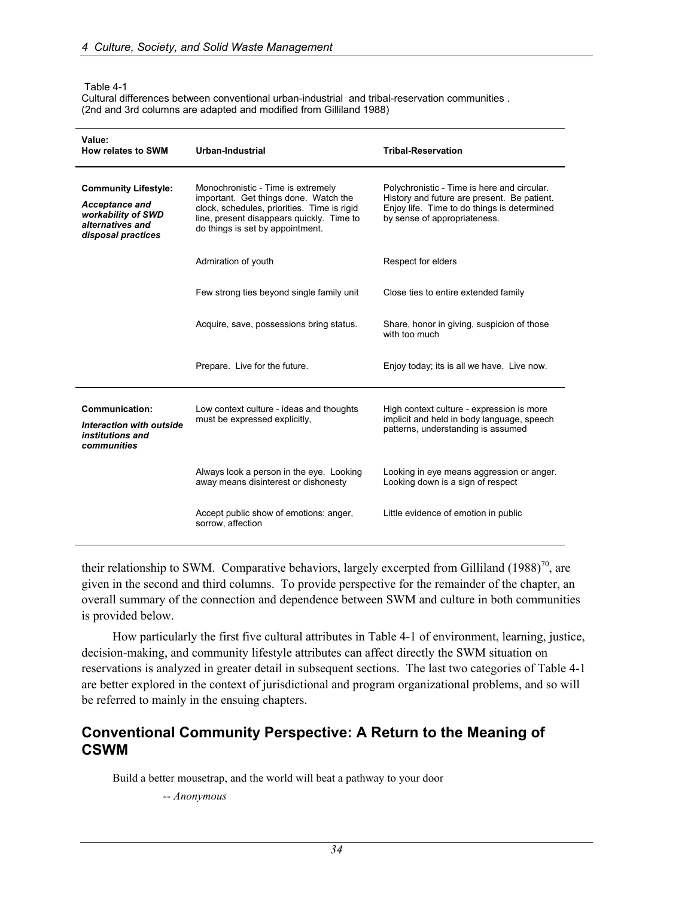#### Table 4-1

Cultural differences between conventional urban-industrial and tribal-reservation communities . (2nd and 3rd columns are adapted and modified from Gilliland 1988)

| Value:<br>How relates to SWM                                                                                         | Urban-Industrial                                                                                                                                                                                            | <b>Tribal-Reservation</b>                                                                                                                                                 |
|----------------------------------------------------------------------------------------------------------------------|-------------------------------------------------------------------------------------------------------------------------------------------------------------------------------------------------------------|---------------------------------------------------------------------------------------------------------------------------------------------------------------------------|
| <b>Community Lifestyle:</b><br><b>Acceptance and</b><br>workability of SWD<br>alternatives and<br>disposal practices | Monochronistic - Time is extremely<br>important. Get things done. Watch the<br>clock, schedules, priorities. Time is rigid<br>line, present disappears quickly. Time to<br>do things is set by appointment. | Polychronistic - Time is here and circular.<br>History and future are present. Be patient.<br>Enjoy life. Time to do things is determined<br>by sense of appropriateness. |
|                                                                                                                      | Admiration of youth                                                                                                                                                                                         | Respect for elders                                                                                                                                                        |
|                                                                                                                      | Few strong ties beyond single family unit                                                                                                                                                                   | Close ties to entire extended family                                                                                                                                      |
|                                                                                                                      | Acquire, save, possessions bring status.                                                                                                                                                                    | Share, honor in giving, suspicion of those<br>with too much                                                                                                               |
|                                                                                                                      | Prepare. Live for the future.                                                                                                                                                                               | Enjoy today; its is all we have. Live now.                                                                                                                                |
| <b>Communication:</b><br>Interaction with outside<br>institutions and<br>communities                                 | Low context culture - ideas and thoughts<br>must be expressed explicitly,                                                                                                                                   | High context culture - expression is more<br>implicit and held in body language, speech<br>patterns, understanding is assumed                                             |
|                                                                                                                      | Always look a person in the eye. Looking<br>away means disinterest or dishonesty                                                                                                                            | Looking in eye means aggression or anger.<br>Looking down is a sign of respect                                                                                            |
|                                                                                                                      | Accept public show of emotions: anger,<br>sorrow, affection                                                                                                                                                 | Little evidence of emotion in public                                                                                                                                      |

their relationship to SWM. Comparative behaviors, largely excerpted from Gilliland  $(1988)^{70}$ , are given in the second and third columns. To provide perspective for the remainder of the chapter, an overall summary of the connection and dependence between SWM and culture in both communities is provided below.

How particularly the first five cultural attributes in Table 4-1 of environment, learning, justice, decision-making, and community lifestyle attributes can affect directly the SWM situation on reservations is analyzed in greater detail in subsequent sections. The last two categories of Table 4-1 are better explored in the context of jurisdictional and program organizational problems, and so will be referred to mainly in the ensuing chapters.

#### **Conventional Community Perspective: A Return to the Meaning of CSWM**

Build a better mousetrap, and the world will beat a pathway to your door

 *-- Anonymous*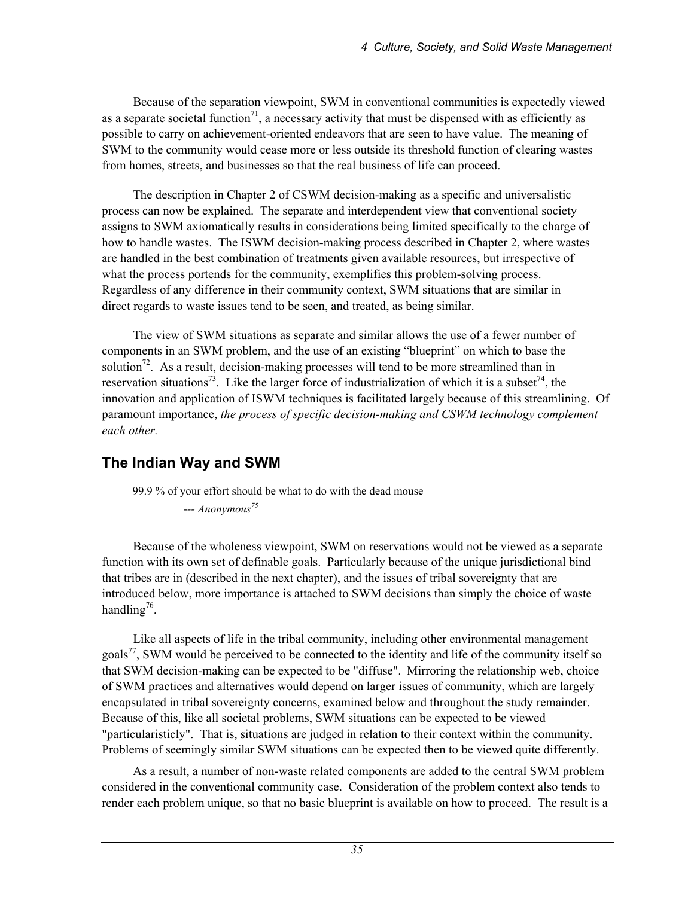Because of the separation viewpoint, SWM in conventional communities is expectedly viewed as a separate societal function<sup>71</sup>, a necessary activity that must be dispensed with as efficiently as possible to carry on achievement-oriented endeavors that are seen to have value. The meaning of SWM to the community would cease more or less outside its threshold function of clearing wastes from homes, streets, and businesses so that the real business of life can proceed.

The description in Chapter 2 of CSWM decision-making as a specific and universalistic process can now be explained. The separate and interdependent view that conventional society assigns to SWM axiomatically results in considerations being limited specifically to the charge of how to handle wastes. The ISWM decision-making process described in Chapter 2, where wastes are handled in the best combination of treatments given available resources, but irrespective of what the process portends for the community, exemplifies this problem-solving process. Regardless of any difference in their community context, SWM situations that are similar in direct regards to waste issues tend to be seen, and treated, as being similar.

The view of SWM situations as separate and similar allows the use of a fewer number of components in an SWM problem, and the use of an existing "blueprint" on which to base the solution<sup>72</sup>. As a result, decision-making processes will tend to be more streamlined than in reservation situations<sup>73</sup>. Like the larger force of industrialization of which it is a subset<sup>74</sup>, the innovation and application of ISWM techniques is facilitated largely because of this streamlining. Of paramount importance, *the process of specific decision-making and CSWM technology complement each other.* 

# **The Indian Way and SWM**

99.9 % of your effort should be what to do with the dead mouse --- Anonymous<sup>75</sup>

Because of the wholeness viewpoint, SWM on reservations would not be viewed as a separate function with its own set of definable goals. Particularly because of the unique jurisdictional bind that tribes are in (described in the next chapter), and the issues of tribal sovereignty that are introduced below, more importance is attached to SWM decisions than simply the choice of waste handling<sup>76</sup>.

Like all aspects of life in the tribal community, including other environmental management goals<sup>77</sup>, SWM would be perceived to be connected to the identity and life of the community itself so that SWM decision-making can be expected to be "diffuse". Mirroring the relationship web, choice of SWM practices and alternatives would depend on larger issues of community, which are largely encapsulated in tribal sovereignty concerns, examined below and throughout the study remainder. Because of this, like all societal problems, SWM situations can be expected to be viewed "particularisticly". That is, situations are judged in relation to their context within the community. Problems of seemingly similar SWM situations can be expected then to be viewed quite differently.

As a result, a number of non-waste related components are added to the central SWM problem considered in the conventional community case. Consideration of the problem context also tends to render each problem unique, so that no basic blueprint is available on how to proceed. The result is a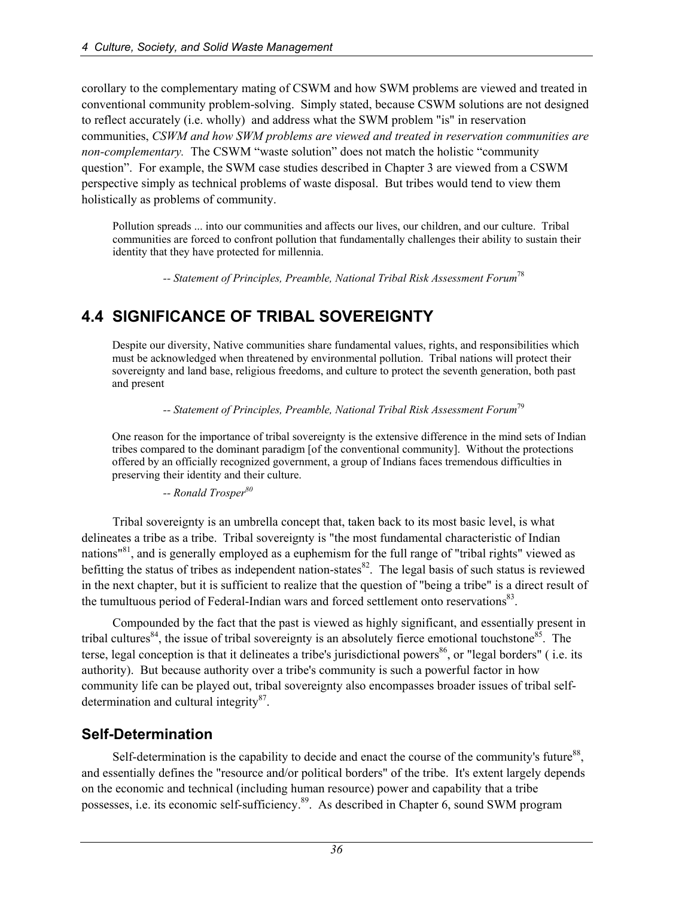corollary to the complementary mating of CSWM and how SWM problems are viewed and treated in conventional community problem-solving. Simply stated, because CSWM solutions are not designed to reflect accurately (i.e. wholly) and address what the SWM problem "is" in reservation communities, *CSWM and how SWM problems are viewed and treated in reservation communities are non-complementary.* The CSWM "waste solution" does not match the holistic "community question". For example, the SWM case studies described in Chapter 3 are viewed from a CSWM perspective simply as technical problems of waste disposal. But tribes would tend to view them holistically as problems of community.

Pollution spreads ... into our communities and affects our lives, our children, and our culture. Tribal communities are forced to confront pollution that fundamentally challenges their ability to sustain their identity that they have protected for millennia.

 *-- Statement of Principles, Preamble, National Tribal Risk Assessment Forum*<sup>78</sup>

# **4.4 SIGNIFICANCE OF TRIBAL SOVEREIGNTY**

Despite our diversity, Native communities share fundamental values, rights, and responsibilities which must be acknowledged when threatened by environmental pollution. Tribal nations will protect their sovereignty and land base, religious freedoms, and culture to protect the seventh generation, both past and present

 *-- Statement of Principles, Preamble, National Tribal Risk Assessment Forum*<sup>79</sup>

One reason for the importance of tribal sovereignty is the extensive difference in the mind sets of Indian tribes compared to the dominant paradigm [of the conventional community]. Without the protections offered by an officially recognized government, a group of Indians faces tremendous difficulties in preserving their identity and their culture.

 *-- Ronald Trosper80*

Tribal sovereignty is an umbrella concept that, taken back to its most basic level, is what delineates a tribe as a tribe. Tribal sovereignty is "the most fundamental characteristic of Indian nations"81, and is generally employed as a euphemism for the full range of "tribal rights" viewed as befitting the status of tribes as independent nation-states $^{82}$ . The legal basis of such status is reviewed in the next chapter, but it is sufficient to realize that the question of "being a tribe" is a direct result of the tumultuous period of Federal-Indian wars and forced settlement onto reservations<sup>83</sup>.

Compounded by the fact that the past is viewed as highly significant, and essentially present in tribal cultures<sup>84</sup>, the issue of tribal sovereignty is an absolutely fierce emotional touchstone<sup>85</sup>. The terse, legal conception is that it delineates a tribe's jurisdictional powers<sup>86</sup>, or "legal borders" (*i.e.* its authority). But because authority over a tribe's community is such a powerful factor in how community life can be played out, tribal sovereignty also encompasses broader issues of tribal selfdetermination and cultural integrity<sup>87</sup>.

# **Self-Determination**

Self-determination is the capability to decide and enact the course of the community's future $88$ , and essentially defines the "resource and/or political borders" of the tribe. It's extent largely depends on the economic and technical (including human resource) power and capability that a tribe possesses, i.e. its economic self-sufficiency.89. As described in Chapter 6, sound SWM program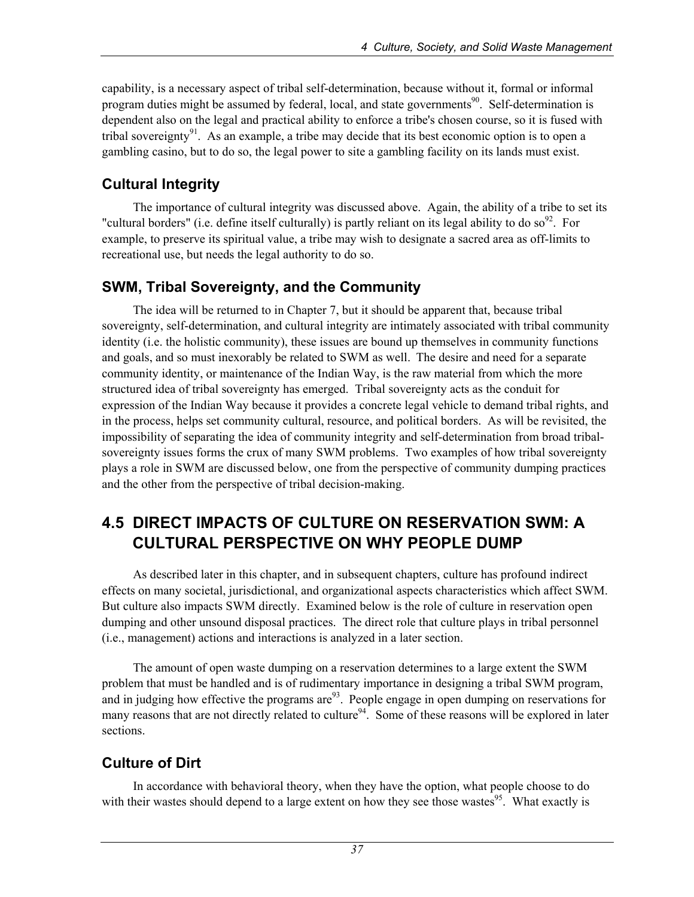capability, is a necessary aspect of tribal self-determination, because without it, formal or informal program duties might be assumed by federal, local, and state governments<sup>90</sup>. Self-determination is dependent also on the legal and practical ability to enforce a tribe's chosen course, so it is fused with tribal sovereignty<sup>91</sup>. As an example, a tribe may decide that its best economic option is to open a gambling casino, but to do so, the legal power to site a gambling facility on its lands must exist.

# **Cultural Integrity**

The importance of cultural integrity was discussed above. Again, the ability of a tribe to set its "cultural borders" (i.e. define itself culturally) is partly reliant on its legal ability to do so  $^{92}$ . For example, to preserve its spiritual value, a tribe may wish to designate a sacred area as off-limits to recreational use, but needs the legal authority to do so.

# **SWM, Tribal Sovereignty, and the Community**

The idea will be returned to in Chapter 7, but it should be apparent that, because tribal sovereignty, self-determination, and cultural integrity are intimately associated with tribal community identity (i.e. the holistic community), these issues are bound up themselves in community functions and goals, and so must inexorably be related to SWM as well. The desire and need for a separate community identity, or maintenance of the Indian Way, is the raw material from which the more structured idea of tribal sovereignty has emerged. Tribal sovereignty acts as the conduit for expression of the Indian Way because it provides a concrete legal vehicle to demand tribal rights, and in the process, helps set community cultural, resource, and political borders. As will be revisited, the impossibility of separating the idea of community integrity and self-determination from broad tribalsovereignty issues forms the crux of many SWM problems. Two examples of how tribal sovereignty plays a role in SWM are discussed below, one from the perspective of community dumping practices and the other from the perspective of tribal decision-making.

# **4.5 DIRECT IMPACTS OF CULTURE ON RESERVATION SWM: A CULTURAL PERSPECTIVE ON WHY PEOPLE DUMP**

As described later in this chapter, and in subsequent chapters, culture has profound indirect effects on many societal, jurisdictional, and organizational aspects characteristics which affect SWM. But culture also impacts SWM directly. Examined below is the role of culture in reservation open dumping and other unsound disposal practices. The direct role that culture plays in tribal personnel (i.e., management) actions and interactions is analyzed in a later section.

The amount of open waste dumping on a reservation determines to a large extent the SWM problem that must be handled and is of rudimentary importance in designing a tribal SWM program, and in judging how effective the programs are  $93$ . People engage in open dumping on reservations for many reasons that are not directly related to culture<sup>94</sup>. Some of these reasons will be explored in later sections.

# **Culture of Dirt**

In accordance with behavioral theory, when they have the option, what people choose to do with their wastes should depend to a large extent on how they see those wastes<sup>95</sup>. What exactly is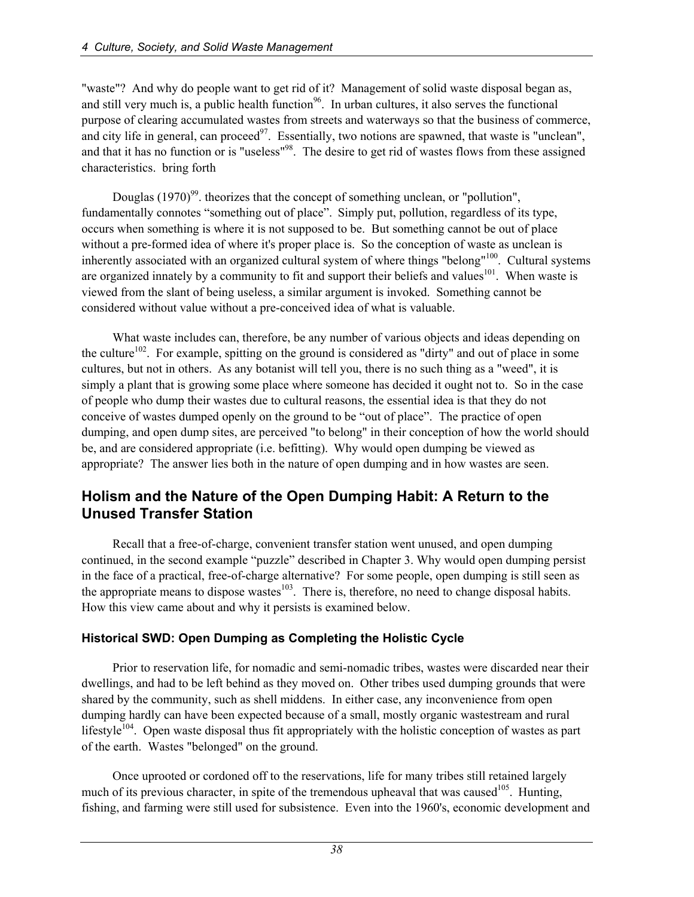"waste"? And why do people want to get rid of it? Management of solid waste disposal began as, and still very much is, a public health function<sup>96</sup>. In urban cultures, it also serves the functional purpose of clearing accumulated wastes from streets and waterways so that the business of commerce, and city life in general, can proceed<sup>97</sup>. Essentially, two notions are spawned, that waste is "unclean", and that it has no function or is "useless"98. The desire to get rid of wastes flows from these assigned characteristics. bring forth

Douglas  $(1970)^{99}$ . theorizes that the concept of something unclean, or "pollution", fundamentally connotes "something out of place". Simply put, pollution, regardless of its type, occurs when something is where it is not supposed to be. But something cannot be out of place without a pre-formed idea of where it's proper place is. So the conception of waste as unclean is inherently associated with an organized cultural system of where things "belong"<sup>100</sup>. Cultural systems are organized innately by a community to fit and support their beliefs and values $101$ . When waste is viewed from the slant of being useless, a similar argument is invoked. Something cannot be considered without value without a pre-conceived idea of what is valuable.

What waste includes can, therefore, be any number of various objects and ideas depending on the culture<sup>102</sup>. For example, spitting on the ground is considered as "dirty" and out of place in some cultures, but not in others. As any botanist will tell you, there is no such thing as a "weed", it is simply a plant that is growing some place where someone has decided it ought not to. So in the case of people who dump their wastes due to cultural reasons, the essential idea is that they do not conceive of wastes dumped openly on the ground to be "out of place". The practice of open dumping, and open dump sites, are perceived "to belong" in their conception of how the world should be, and are considered appropriate (i.e. befitting). Why would open dumping be viewed as appropriate? The answer lies both in the nature of open dumping and in how wastes are seen.

## **Holism and the Nature of the Open Dumping Habit: A Return to the Unused Transfer Station**

Recall that a free-of-charge, convenient transfer station went unused, and open dumping continued, in the second example "puzzle" described in Chapter 3. Why would open dumping persist in the face of a practical, free-of-charge alternative? For some people, open dumping is still seen as the appropriate means to dispose wastes $103$ . There is, therefore, no need to change disposal habits. How this view came about and why it persists is examined below.

#### **Historical SWD: Open Dumping as Completing the Holistic Cycle**

Prior to reservation life, for nomadic and semi-nomadic tribes, wastes were discarded near their dwellings, and had to be left behind as they moved on. Other tribes used dumping grounds that were shared by the community, such as shell middens. In either case, any inconvenience from open dumping hardly can have been expected because of a small, mostly organic wastestream and rural lifestyle<sup>104</sup>. Open waste disposal thus fit appropriately with the holistic conception of wastes as part of the earth. Wastes "belonged" on the ground.

Once uprooted or cordoned off to the reservations, life for many tribes still retained largely much of its previous character, in spite of the tremendous upheaval that was caused<sup>105</sup>. Hunting, fishing, and farming were still used for subsistence. Even into the 1960's, economic development and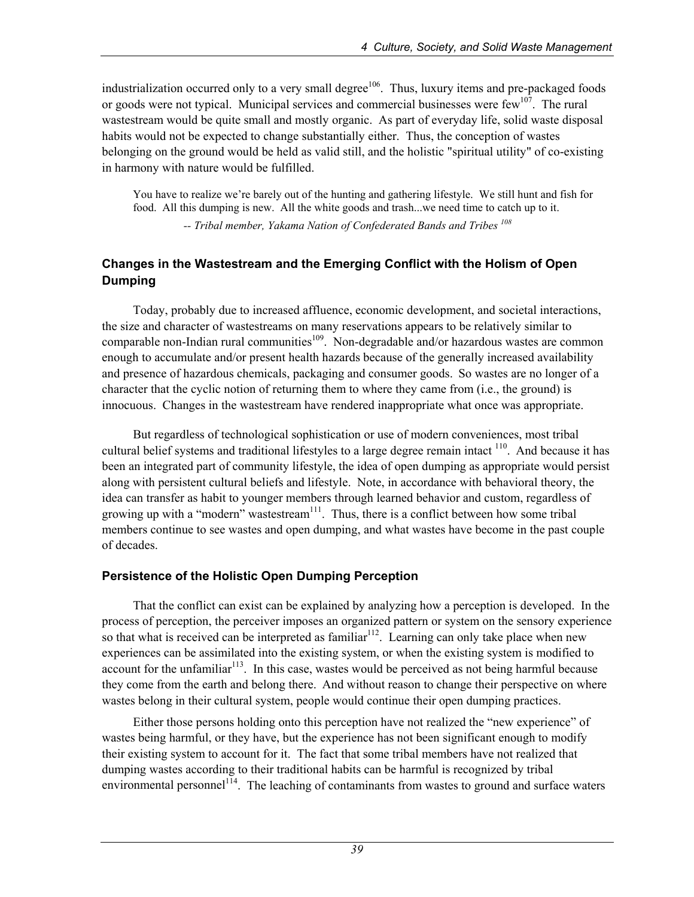industrialization occurred only to a very small degree<sup>106</sup>. Thus, luxury items and pre-packaged foods or goods were not typical. Municipal services and commercial businesses were few<sup>107</sup>. The rural wastestream would be quite small and mostly organic. As part of everyday life, solid waste disposal habits would not be expected to change substantially either. Thus, the conception of wastes belonging on the ground would be held as valid still, and the holistic "spiritual utility" of co-existing in harmony with nature would be fulfilled.

You have to realize we're barely out of the hunting and gathering lifestyle. We still hunt and fish for food. All this dumping is new. All the white goods and trash...we need time to catch up to it.

 *-- Tribal member, Yakama Nation of Confederated Bands and Tribes 108*

#### **Changes in the Wastestream and the Emerging Conflict with the Holism of Open Dumping**

Today, probably due to increased affluence, economic development, and societal interactions, the size and character of wastestreams on many reservations appears to be relatively similar to comparable non-Indian rural communities<sup>109</sup>. Non-degradable and/or hazardous wastes are common enough to accumulate and/or present health hazards because of the generally increased availability and presence of hazardous chemicals, packaging and consumer goods. So wastes are no longer of a character that the cyclic notion of returning them to where they came from (i.e., the ground) is innocuous. Changes in the wastestream have rendered inappropriate what once was appropriate.

But regardless of technological sophistication or use of modern conveniences, most tribal cultural belief systems and traditional lifestyles to a large degree remain intact  $110$ . And because it has been an integrated part of community lifestyle, the idea of open dumping as appropriate would persist along with persistent cultural beliefs and lifestyle. Note, in accordance with behavioral theory, the idea can transfer as habit to younger members through learned behavior and custom, regardless of growing up with a "modern" wastestream<sup>111</sup>. Thus, there is a conflict between how some tribal members continue to see wastes and open dumping, and what wastes have become in the past couple of decades.

#### **Persistence of the Holistic Open Dumping Perception**

That the conflict can exist can be explained by analyzing how a perception is developed. In the process of perception, the perceiver imposes an organized pattern or system on the sensory experience so that what is received can be interpreted as familiar<sup>112</sup>. Learning can only take place when new experiences can be assimilated into the existing system, or when the existing system is modified to account for the unfamiliar<sup>113</sup>. In this case, wastes would be perceived as not being harmful because they come from the earth and belong there. And without reason to change their perspective on where wastes belong in their cultural system, people would continue their open dumping practices.

Either those persons holding onto this perception have not realized the "new experience" of wastes being harmful, or they have, but the experience has not been significant enough to modify their existing system to account for it. The fact that some tribal members have not realized that dumping wastes according to their traditional habits can be harmful is recognized by tribal environmental personnel<sup>114</sup>. The leaching of contaminants from wastes to ground and surface waters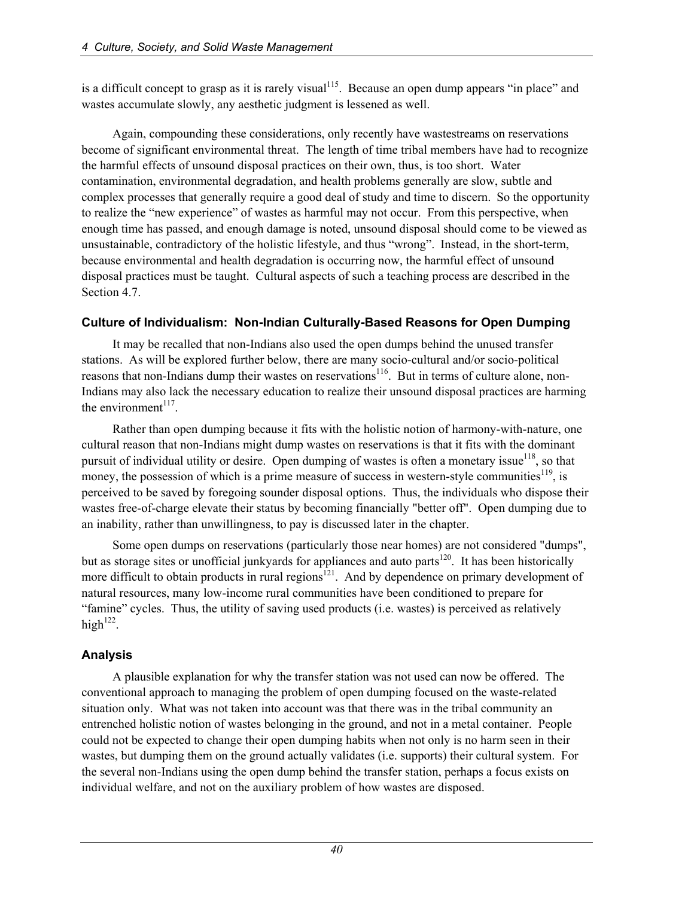is a difficult concept to grasp as it is rarely visual<sup>115</sup>. Because an open dump appears "in place" and wastes accumulate slowly, any aesthetic judgment is lessened as well.

Again, compounding these considerations, only recently have wastestreams on reservations become of significant environmental threat. The length of time tribal members have had to recognize the harmful effects of unsound disposal practices on their own, thus, is too short. Water contamination, environmental degradation, and health problems generally are slow, subtle and complex processes that generally require a good deal of study and time to discern. So the opportunity to realize the "new experience" of wastes as harmful may not occur. From this perspective, when enough time has passed, and enough damage is noted, unsound disposal should come to be viewed as unsustainable, contradictory of the holistic lifestyle, and thus "wrong". Instead, in the short-term, because environmental and health degradation is occurring now, the harmful effect of unsound disposal practices must be taught. Cultural aspects of such a teaching process are described in the Section 4.7.

#### **Culture of Individualism: Non-Indian Culturally-Based Reasons for Open Dumping**

It may be recalled that non-Indians also used the open dumps behind the unused transfer stations. As will be explored further below, there are many socio-cultural and/or socio-political reasons that non-Indians dump their wastes on reservations<sup>116</sup>. But in terms of culture alone, non-Indians may also lack the necessary education to realize their unsound disposal practices are harming the environment $117$ .

Rather than open dumping because it fits with the holistic notion of harmony-with-nature, one cultural reason that non-Indians might dump wastes on reservations is that it fits with the dominant pursuit of individual utility or desire. Open dumping of wastes is often a monetary issue<sup>118</sup>, so that money, the possession of which is a prime measure of success in western-style communities<sup>119</sup>, is perceived to be saved by foregoing sounder disposal options. Thus, the individuals who dispose their wastes free-of-charge elevate their status by becoming financially "better off". Open dumping due to an inability, rather than unwillingness, to pay is discussed later in the chapter.

Some open dumps on reservations (particularly those near homes) are not considered "dumps", but as storage sites or unofficial junkyards for appliances and auto parts<sup>120</sup>. It has been historically more difficult to obtain products in rural regions<sup>121</sup>. And by dependence on primary development of natural resources, many low-income rural communities have been conditioned to prepare for "famine" cycles. Thus, the utility of saving used products (i.e. wastes) is perceived as relatively high $122$ .

# **Analysis**

A plausible explanation for why the transfer station was not used can now be offered. The conventional approach to managing the problem of open dumping focused on the waste-related situation only. What was not taken into account was that there was in the tribal community an entrenched holistic notion of wastes belonging in the ground, and not in a metal container. People could not be expected to change their open dumping habits when not only is no harm seen in their wastes, but dumping them on the ground actually validates (i.e. supports) their cultural system. For the several non-Indians using the open dump behind the transfer station, perhaps a focus exists on individual welfare, and not on the auxiliary problem of how wastes are disposed.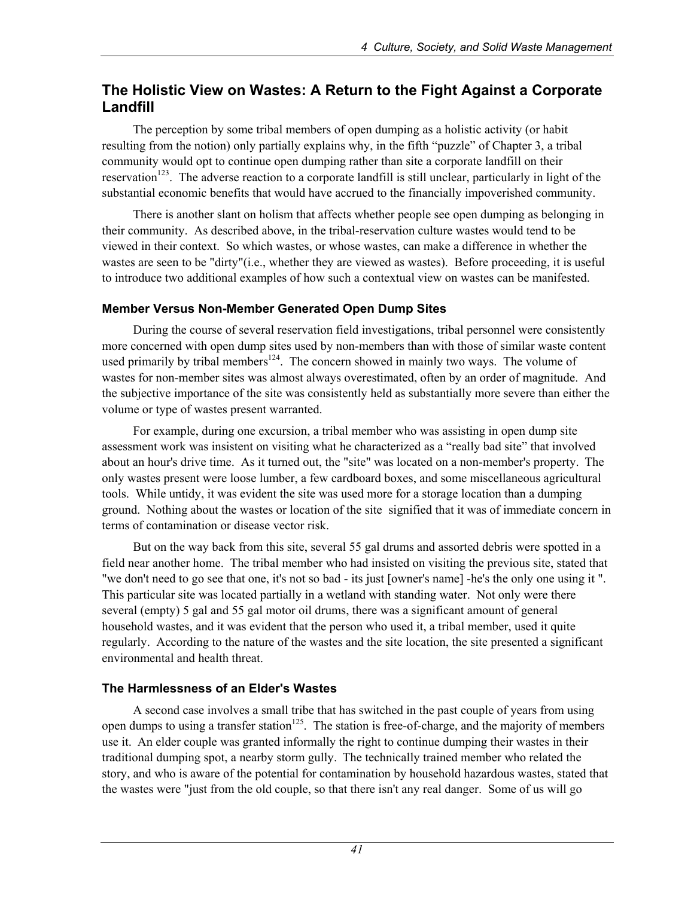## **The Holistic View on Wastes: A Return to the Fight Against a Corporate Landfill**

The perception by some tribal members of open dumping as a holistic activity (or habit resulting from the notion) only partially explains why, in the fifth "puzzle" of Chapter 3, a tribal community would opt to continue open dumping rather than site a corporate landfill on their reservation<sup>123</sup>. The adverse reaction to a corporate landfill is still unclear, particularly in light of the substantial economic benefits that would have accrued to the financially impoverished community.

There is another slant on holism that affects whether people see open dumping as belonging in their community. As described above, in the tribal-reservation culture wastes would tend to be viewed in their context. So which wastes, or whose wastes, can make a difference in whether the wastes are seen to be "dirty"(i.e., whether they are viewed as wastes). Before proceeding, it is useful to introduce two additional examples of how such a contextual view on wastes can be manifested.

#### **Member Versus Non-Member Generated Open Dump Sites**

During the course of several reservation field investigations, tribal personnel were consistently more concerned with open dump sites used by non-members than with those of similar waste content used primarily by tribal members<sup>124</sup>. The concern showed in mainly two ways. The volume of wastes for non-member sites was almost always overestimated, often by an order of magnitude. And the subjective importance of the site was consistently held as substantially more severe than either the volume or type of wastes present warranted.

For example, during one excursion, a tribal member who was assisting in open dump site assessment work was insistent on visiting what he characterized as a "really bad site" that involved about an hour's drive time. As it turned out, the "site" was located on a non-member's property. The only wastes present were loose lumber, a few cardboard boxes, and some miscellaneous agricultural tools. While untidy, it was evident the site was used more for a storage location than a dumping ground. Nothing about the wastes or location of the site signified that it was of immediate concern in terms of contamination or disease vector risk.

But on the way back from this site, several 55 gal drums and assorted debris were spotted in a field near another home. The tribal member who had insisted on visiting the previous site, stated that "we don't need to go see that one, it's not so bad - its just [owner's name] -he's the only one using it ". This particular site was located partially in a wetland with standing water. Not only were there several (empty) 5 gal and 55 gal motor oil drums, there was a significant amount of general household wastes, and it was evident that the person who used it, a tribal member, used it quite regularly. According to the nature of the wastes and the site location, the site presented a significant environmental and health threat.

#### **The Harmlessness of an Elder's Wastes**

A second case involves a small tribe that has switched in the past couple of years from using open dumps to using a transfer station<sup>125</sup>. The station is free-of-charge, and the majority of members use it. An elder couple was granted informally the right to continue dumping their wastes in their traditional dumping spot, a nearby storm gully. The technically trained member who related the story, and who is aware of the potential for contamination by household hazardous wastes, stated that the wastes were "just from the old couple, so that there isn't any real danger. Some of us will go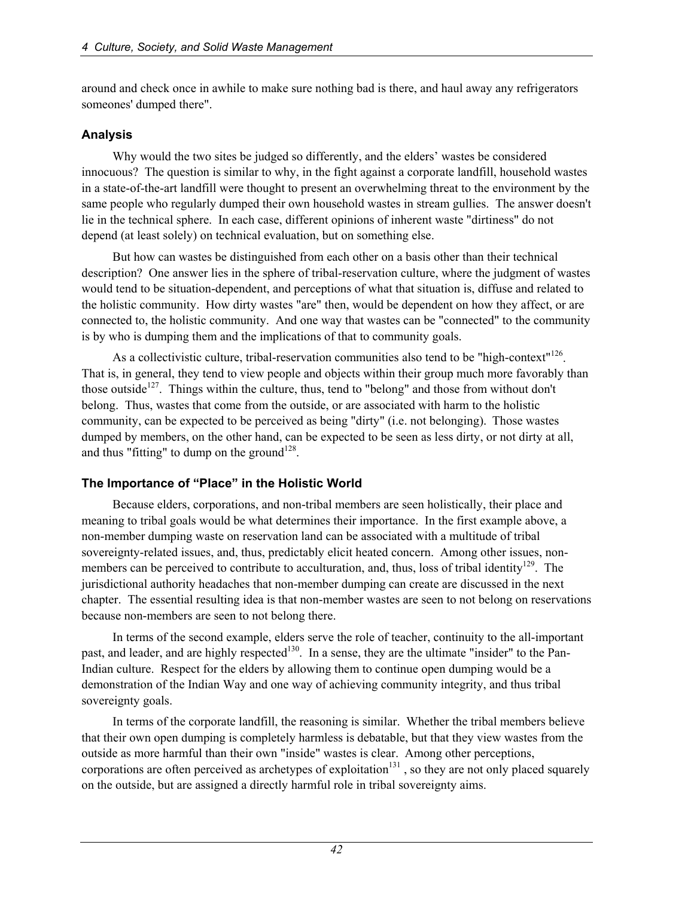around and check once in awhile to make sure nothing bad is there, and haul away any refrigerators someones' dumped there".

#### **Analysis**

Why would the two sites be judged so differently, and the elders' wastes be considered innocuous? The question is similar to why, in the fight against a corporate landfill, household wastes in a state-of-the-art landfill were thought to present an overwhelming threat to the environment by the same people who regularly dumped their own household wastes in stream gullies. The answer doesn't lie in the technical sphere. In each case, different opinions of inherent waste "dirtiness" do not depend (at least solely) on technical evaluation, but on something else.

But how can wastes be distinguished from each other on a basis other than their technical description? One answer lies in the sphere of tribal-reservation culture, where the judgment of wastes would tend to be situation-dependent, and perceptions of what that situation is, diffuse and related to the holistic community. How dirty wastes "are" then, would be dependent on how they affect, or are connected to, the holistic community. And one way that wastes can be "connected" to the community is by who is dumping them and the implications of that to community goals.

As a collectivistic culture, tribal-reservation communities also tend to be "high-context"<sup>126</sup>. That is, in general, they tend to view people and objects within their group much more favorably than those outside<sup>127</sup>. Things within the culture, thus, tend to "belong" and those from without don't belong. Thus, wastes that come from the outside, or are associated with harm to the holistic community, can be expected to be perceived as being "dirty" (i.e. not belonging). Those wastes dumped by members, on the other hand, can be expected to be seen as less dirty, or not dirty at all, and thus "fitting" to dump on the ground<sup>128</sup>.

#### **The Importance of "Place" in the Holistic World**

Because elders, corporations, and non-tribal members are seen holistically, their place and meaning to tribal goals would be what determines their importance. In the first example above, a non-member dumping waste on reservation land can be associated with a multitude of tribal sovereignty-related issues, and, thus, predictably elicit heated concern. Among other issues, nonmembers can be perceived to contribute to acculturation, and, thus, loss of tribal identity<sup>129</sup>. The jurisdictional authority headaches that non-member dumping can create are discussed in the next chapter. The essential resulting idea is that non-member wastes are seen to not belong on reservations because non-members are seen to not belong there.

In terms of the second example, elders serve the role of teacher, continuity to the all-important past, and leader, and are highly respected<sup>130</sup>. In a sense, they are the ultimate "insider" to the Pan-Indian culture. Respect for the elders by allowing them to continue open dumping would be a demonstration of the Indian Way and one way of achieving community integrity, and thus tribal sovereignty goals.

In terms of the corporate landfill, the reasoning is similar. Whether the tribal members believe that their own open dumping is completely harmless is debatable, but that they view wastes from the outside as more harmful than their own "inside" wastes is clear. Among other perceptions, corporations are often perceived as archetypes of exploitation $131$ , so they are not only placed squarely on the outside, but are assigned a directly harmful role in tribal sovereignty aims.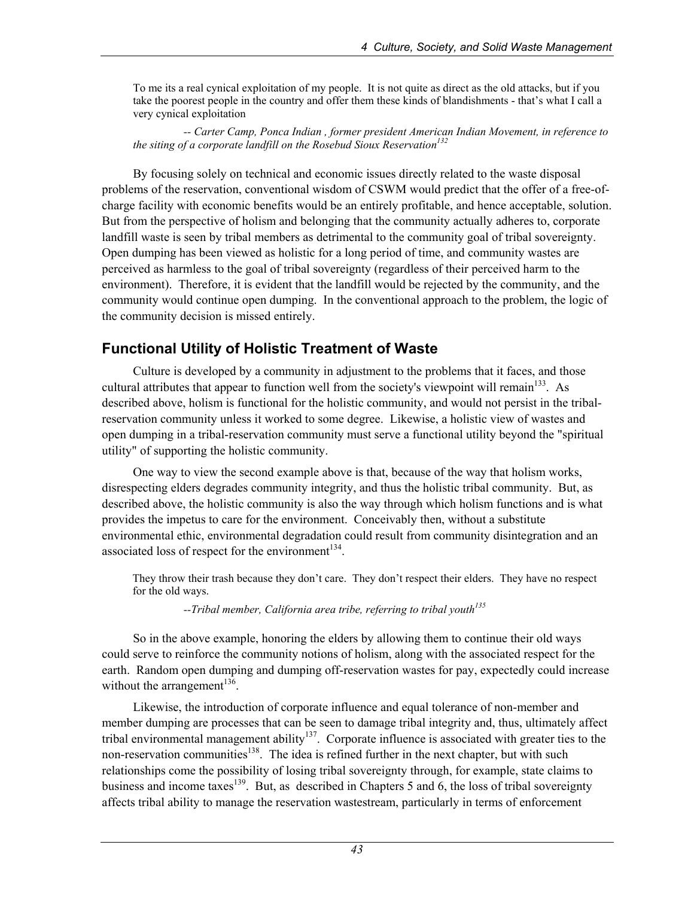To me its a real cynical exploitation of my people. It is not quite as direct as the old attacks, but if you take the poorest people in the country and offer them these kinds of blandishments - that's what I call a very cynical exploitation

 *-- Carter Camp, Ponca Indian , former president American Indian Movement, in reference to the siting of a corporate landfill on the Rosebud Sioux Reservation*<sup>132</sup>

By focusing solely on technical and economic issues directly related to the waste disposal problems of the reservation, conventional wisdom of CSWM would predict that the offer of a free-ofcharge facility with economic benefits would be an entirely profitable, and hence acceptable, solution. But from the perspective of holism and belonging that the community actually adheres to, corporate landfill waste is seen by tribal members as detrimental to the community goal of tribal sovereignty. Open dumping has been viewed as holistic for a long period of time, and community wastes are perceived as harmless to the goal of tribal sovereignty (regardless of their perceived harm to the environment). Therefore, it is evident that the landfill would be rejected by the community, and the community would continue open dumping. In the conventional approach to the problem, the logic of the community decision is missed entirely.

# **Functional Utility of Holistic Treatment of Waste**

Culture is developed by a community in adjustment to the problems that it faces, and those cultural attributes that appear to function well from the society's viewpoint will remain<sup>133</sup>. As described above, holism is functional for the holistic community, and would not persist in the tribalreservation community unless it worked to some degree. Likewise, a holistic view of wastes and open dumping in a tribal-reservation community must serve a functional utility beyond the "spiritual utility" of supporting the holistic community.

One way to view the second example above is that, because of the way that holism works, disrespecting elders degrades community integrity, and thus the holistic tribal community. But, as described above, the holistic community is also the way through which holism functions and is what provides the impetus to care for the environment. Conceivably then, without a substitute environmental ethic, environmental degradation could result from community disintegration and an associated loss of respect for the environment $134$ .

They throw their trash because they don't care. They don't respect their elders. They have no respect for the old ways.

 *--Tribal member, California area tribe, referring to tribal youth135*

So in the above example, honoring the elders by allowing them to continue their old ways could serve to reinforce the community notions of holism, along with the associated respect for the earth. Random open dumping and dumping off-reservation wastes for pay, expectedly could increase without the arrangement $136$ .

Likewise, the introduction of corporate influence and equal tolerance of non-member and member dumping are processes that can be seen to damage tribal integrity and, thus, ultimately affect tribal environmental management ability137. Corporate influence is associated with greater ties to the non-reservation communities $138$ . The idea is refined further in the next chapter, but with such relationships come the possibility of losing tribal sovereignty through, for example, state claims to business and income taxes<sup>139</sup>. But, as described in Chapters 5 and 6, the loss of tribal sovereignty affects tribal ability to manage the reservation wastestream, particularly in terms of enforcement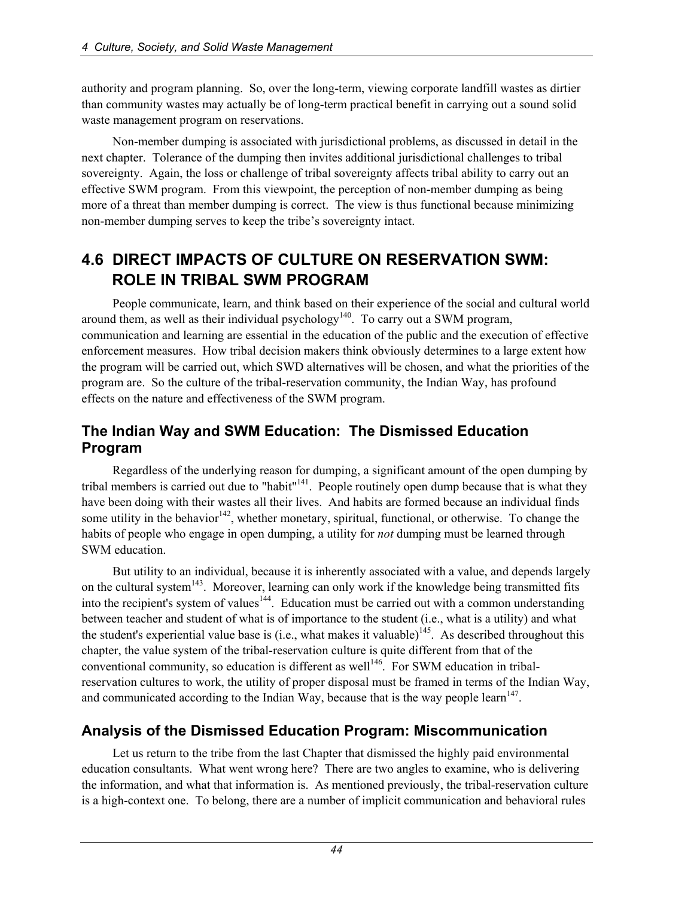authority and program planning. So, over the long-term, viewing corporate landfill wastes as dirtier than community wastes may actually be of long-term practical benefit in carrying out a sound solid waste management program on reservations.

Non-member dumping is associated with jurisdictional problems, as discussed in detail in the next chapter. Tolerance of the dumping then invites additional jurisdictional challenges to tribal sovereignty. Again, the loss or challenge of tribal sovereignty affects tribal ability to carry out an effective SWM program. From this viewpoint, the perception of non-member dumping as being more of a threat than member dumping is correct. The view is thus functional because minimizing non-member dumping serves to keep the tribe's sovereignty intact.

# **4.6 DIRECT IMPACTS OF CULTURE ON RESERVATION SWM: ROLE IN TRIBAL SWM PROGRAM**

People communicate, learn, and think based on their experience of the social and cultural world around them, as well as their individual psychology<sup>140</sup>. To carry out a SWM program, communication and learning are essential in the education of the public and the execution of effective enforcement measures. How tribal decision makers think obviously determines to a large extent how the program will be carried out, which SWD alternatives will be chosen, and what the priorities of the program are. So the culture of the tribal-reservation community, the Indian Way, has profound effects on the nature and effectiveness of the SWM program.

# **The Indian Way and SWM Education: The Dismissed Education Program**

Regardless of the underlying reason for dumping, a significant amount of the open dumping by tribal members is carried out due to "habit"<sup>141</sup>. People routinely open dump because that is what they have been doing with their wastes all their lives. And habits are formed because an individual finds some utility in the behavior<sup>142</sup>, whether monetary, spiritual, functional, or otherwise. To change the habits of people who engage in open dumping, a utility for *not* dumping must be learned through SWM education.

But utility to an individual, because it is inherently associated with a value, and depends largely on the cultural system<sup>143</sup>. Moreover, learning can only work if the knowledge being transmitted fits into the recipient's system of values<sup>144</sup>. Education must be carried out with a common understanding between teacher and student of what is of importance to the student (i.e., what is a utility) and what the student's experiential value base is (i.e., what makes it valuable)<sup>145</sup>. As described throughout this chapter, the value system of the tribal-reservation culture is quite different from that of the conventional community, so education is different as well<sup>146</sup>. For SWM education in tribalreservation cultures to work, the utility of proper disposal must be framed in terms of the Indian Way, and communicated according to the Indian Way, because that is the way people learn<sup>147</sup>.

# **Analysis of the Dismissed Education Program: Miscommunication**

Let us return to the tribe from the last Chapter that dismissed the highly paid environmental education consultants. What went wrong here? There are two angles to examine, who is delivering the information, and what that information is. As mentioned previously, the tribal-reservation culture is a high-context one. To belong, there are a number of implicit communication and behavioral rules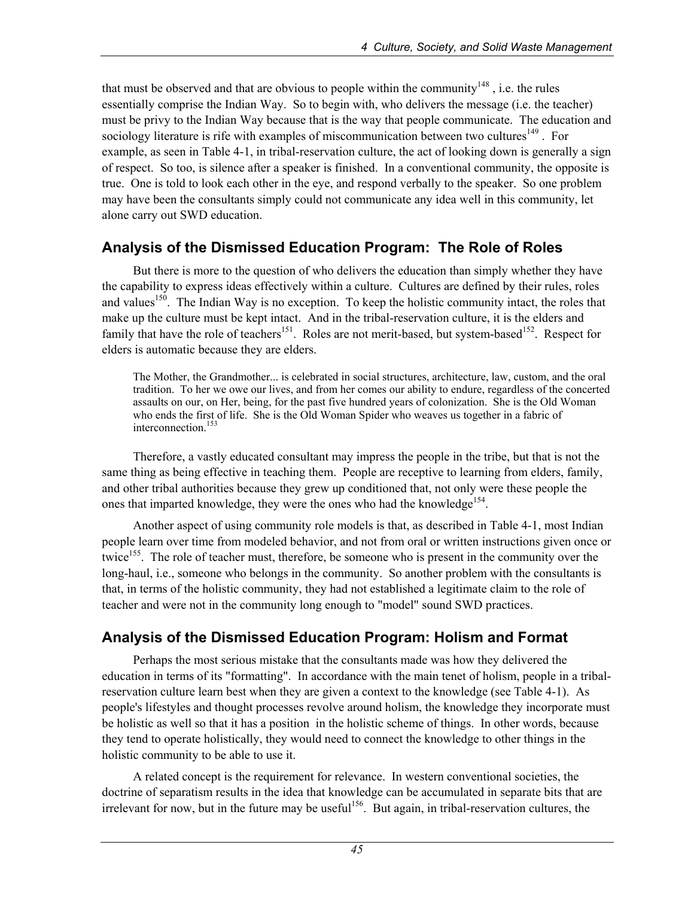that must be observed and that are obvious to people within the community<sup>148</sup>, i.e. the rules essentially comprise the Indian Way. So to begin with, who delivers the message (i.e. the teacher) must be privy to the Indian Way because that is the way that people communicate. The education and sociology literature is rife with examples of miscommunication between two cultures<sup>149</sup>. For example, as seen in Table 4-1, in tribal-reservation culture, the act of looking down is generally a sign of respect. So too, is silence after a speaker is finished. In a conventional community, the opposite is true. One is told to look each other in the eye, and respond verbally to the speaker. So one problem may have been the consultants simply could not communicate any idea well in this community, let alone carry out SWD education.

# **Analysis of the Dismissed Education Program: The Role of Roles**

But there is more to the question of who delivers the education than simply whether they have the capability to express ideas effectively within a culture. Cultures are defined by their rules, roles and values<sup>150</sup>. The Indian Way is no exception. To keep the holistic community intact, the roles that make up the culture must be kept intact. And in the tribal-reservation culture, it is the elders and family that have the role of teachers<sup>151</sup>. Roles are not merit-based, but system-based<sup>152</sup>. Respect for elders is automatic because they are elders.

The Mother, the Grandmother... is celebrated in social structures, architecture, law, custom, and the oral tradition. To her we owe our lives, and from her comes our ability to endure, regardless of the concerted assaults on our, on Her, being, for the past five hundred years of colonization. She is the Old Woman who ends the first of life. She is the Old Woman Spider who weaves us together in a fabric of interconnection.<sup>153</sup>

Therefore, a vastly educated consultant may impress the people in the tribe, but that is not the same thing as being effective in teaching them. People are receptive to learning from elders, family, and other tribal authorities because they grew up conditioned that, not only were these people the ones that imparted knowledge, they were the ones who had the knowledge<sup>154</sup>.

Another aspect of using community role models is that, as described in Table 4-1, most Indian people learn over time from modeled behavior, and not from oral or written instructions given once or twice<sup>155</sup>. The role of teacher must, therefore, be someone who is present in the community over the long-haul, i.e., someone who belongs in the community. So another problem with the consultants is that, in terms of the holistic community, they had not established a legitimate claim to the role of teacher and were not in the community long enough to "model" sound SWD practices.

# **Analysis of the Dismissed Education Program: Holism and Format**

Perhaps the most serious mistake that the consultants made was how they delivered the education in terms of its "formatting". In accordance with the main tenet of holism, people in a tribalreservation culture learn best when they are given a context to the knowledge (see Table 4-1). As people's lifestyles and thought processes revolve around holism, the knowledge they incorporate must be holistic as well so that it has a position in the holistic scheme of things. In other words, because they tend to operate holistically, they would need to connect the knowledge to other things in the holistic community to be able to use it.

A related concept is the requirement for relevance. In western conventional societies, the doctrine of separatism results in the idea that knowledge can be accumulated in separate bits that are irrelevant for now, but in the future may be useful<sup>156</sup>. But again, in tribal-reservation cultures, the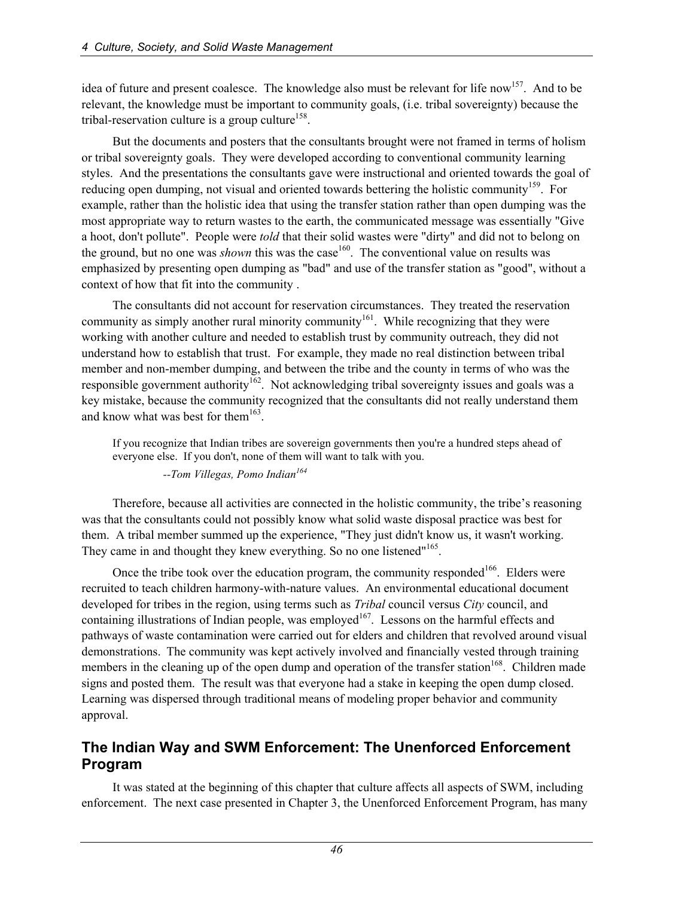idea of future and present coalesce. The knowledge also must be relevant for life now<sup>157</sup>. And to be relevant, the knowledge must be important to community goals, (i.e. tribal sovereignty) because the tribal-reservation culture is a group culture<sup>158</sup>.

But the documents and posters that the consultants brought were not framed in terms of holism or tribal sovereignty goals. They were developed according to conventional community learning styles. And the presentations the consultants gave were instructional and oriented towards the goal of reducing open dumping, not visual and oriented towards bettering the holistic community<sup>159</sup>. For example, rather than the holistic idea that using the transfer station rather than open dumping was the most appropriate way to return wastes to the earth, the communicated message was essentially "Give a hoot, don't pollute". People were *told* that their solid wastes were "dirty" and did not to belong on the ground, but no one was *shown* this was the case<sup>160</sup>. The conventional value on results was emphasized by presenting open dumping as "bad" and use of the transfer station as "good", without a context of how that fit into the community .

The consultants did not account for reservation circumstances. They treated the reservation community as simply another rural minority community<sup>161</sup>. While recognizing that they were working with another culture and needed to establish trust by community outreach, they did not understand how to establish that trust. For example, they made no real distinction between tribal member and non-member dumping, and between the tribe and the county in terms of who was the responsible government authority<sup>162</sup>. Not acknowledging tribal sovereignty issues and goals was a key mistake, because the community recognized that the consultants did not really understand them and know what was best for them $^{163}$ .

If you recognize that Indian tribes are sovereign governments then you're a hundred steps ahead of everyone else. If you don't, none of them will want to talk with you.

 *--Tom Villegas, Pomo Indian164*

Therefore, because all activities are connected in the holistic community, the tribe's reasoning was that the consultants could not possibly know what solid waste disposal practice was best for them. A tribal member summed up the experience, "They just didn't know us, it wasn't working. They came in and thought they knew everything. So no one listened<sup>"165</sup>.

Once the tribe took over the education program, the community responded<sup>166</sup>. Elders were recruited to teach children harmony-with-nature values. An environmental educational document developed for tribes in the region, using terms such as *Tribal* council versus *City* council, and containing illustrations of Indian people, was employed<sup>167</sup>. Lessons on the harmful effects and pathways of waste contamination were carried out for elders and children that revolved around visual demonstrations. The community was kept actively involved and financially vested through training members in the cleaning up of the open dump and operation of the transfer station<sup>168</sup>. Children made signs and posted them. The result was that everyone had a stake in keeping the open dump closed. Learning was dispersed through traditional means of modeling proper behavior and community approval.

# **The Indian Way and SWM Enforcement: The Unenforced Enforcement Program**

It was stated at the beginning of this chapter that culture affects all aspects of SWM, including enforcement. The next case presented in Chapter 3, the Unenforced Enforcement Program, has many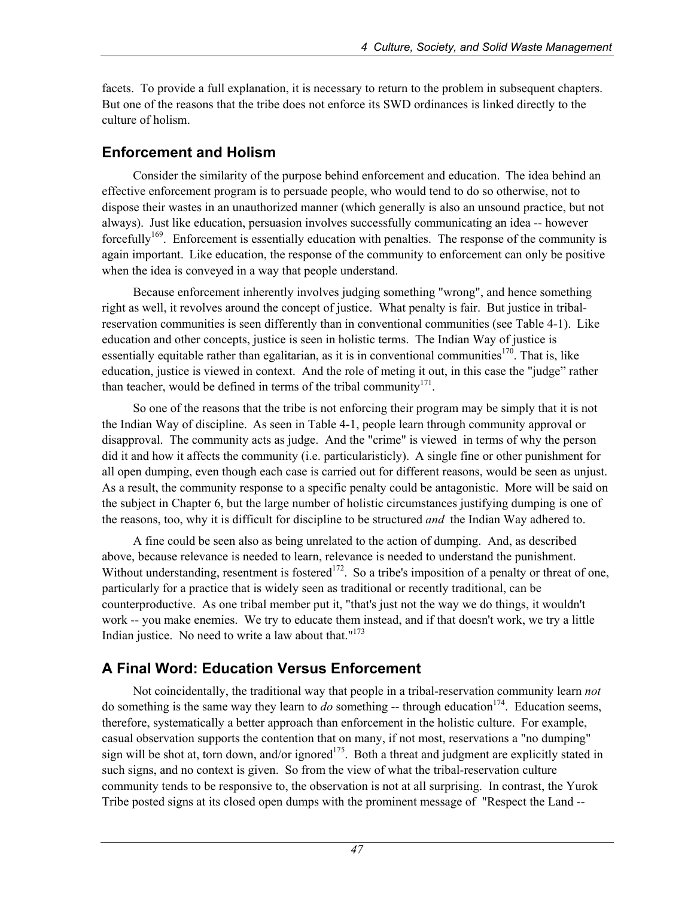facets. To provide a full explanation, it is necessary to return to the problem in subsequent chapters. But one of the reasons that the tribe does not enforce its SWD ordinances is linked directly to the culture of holism.

# **Enforcement and Holism**

Consider the similarity of the purpose behind enforcement and education. The idea behind an effective enforcement program is to persuade people, who would tend to do so otherwise, not to dispose their wastes in an unauthorized manner (which generally is also an unsound practice, but not always). Just like education, persuasion involves successfully communicating an idea -- however forcefully<sup>169</sup>. Enforcement is essentially education with penalties. The response of the community is again important. Like education, the response of the community to enforcement can only be positive when the idea is conveyed in a way that people understand.

Because enforcement inherently involves judging something "wrong", and hence something right as well, it revolves around the concept of justice. What penalty is fair. But justice in tribalreservation communities is seen differently than in conventional communities (see Table 4-1). Like education and other concepts, justice is seen in holistic terms. The Indian Way of justice is essentially equitable rather than egalitarian, as it is in conventional communities<sup>170</sup>. That is, like education, justice is viewed in context. And the role of meting it out, in this case the "judge" rather than teacher, would be defined in terms of the tribal community<sup>171</sup>.

So one of the reasons that the tribe is not enforcing their program may be simply that it is not the Indian Way of discipline. As seen in Table 4-1, people learn through community approval or disapproval. The community acts as judge. And the "crime" is viewed in terms of why the person did it and how it affects the community (i.e. particularisticly). A single fine or other punishment for all open dumping, even though each case is carried out for different reasons, would be seen as unjust. As a result, the community response to a specific penalty could be antagonistic. More will be said on the subject in Chapter 6, but the large number of holistic circumstances justifying dumping is one of the reasons, too, why it is difficult for discipline to be structured *and* the Indian Way adhered to.

A fine could be seen also as being unrelated to the action of dumping. And, as described above, because relevance is needed to learn, relevance is needed to understand the punishment. Without understanding, resentment is fostered<sup>172</sup>. So a tribe's imposition of a penalty or threat of one, particularly for a practice that is widely seen as traditional or recently traditional, can be counterproductive. As one tribal member put it, "that's just not the way we do things, it wouldn't work -- you make enemies. We try to educate them instead, and if that doesn't work, we try a little Indian justice. No need to write a law about that." $173$ 

# **A Final Word: Education Versus Enforcement**

Not coincidentally, the traditional way that people in a tribal-reservation community learn *not*  do something is the same way they learn to *do* something -- through education<sup>174</sup>. Education seems, therefore, systematically a better approach than enforcement in the holistic culture. For example, casual observation supports the contention that on many, if not most, reservations a "no dumping" sign will be shot at, torn down, and/or ignored<sup>175</sup>. Both a threat and judgment are explicitly stated in such signs, and no context is given. So from the view of what the tribal-reservation culture community tends to be responsive to, the observation is not at all surprising. In contrast, the Yurok Tribe posted signs at its closed open dumps with the prominent message of "Respect the Land --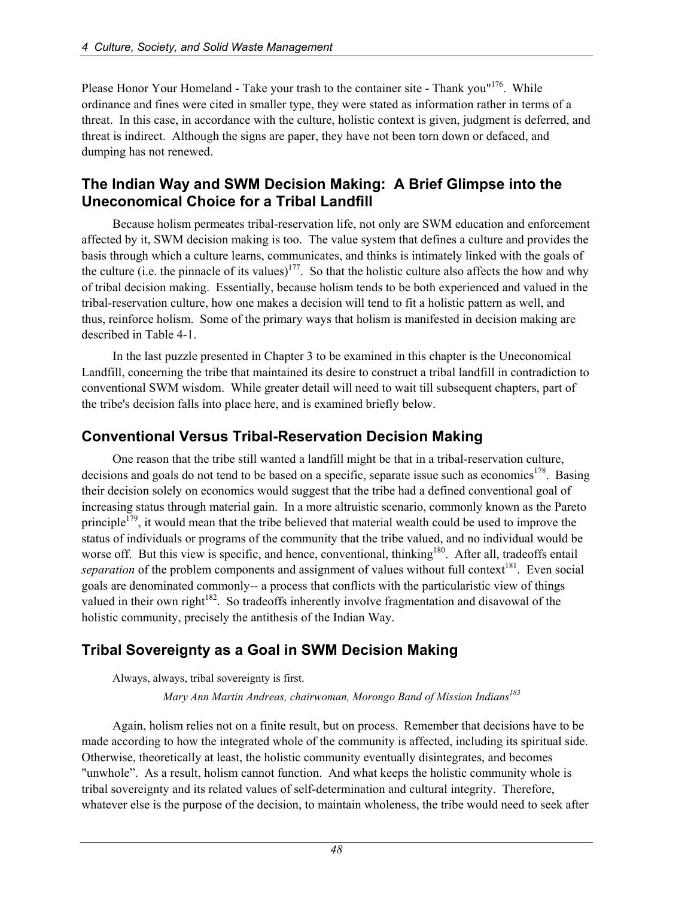Please Honor Your Homeland - Take your trash to the container site - Thank you"<sup>176</sup>. While ordinance and fines were cited in smaller type, they were stated as information rather in terms of a threat. In this case, in accordance with the culture, holistic context is given, judgment is deferred, and threat is indirect. Although the signs are paper, they have not been torn down or defaced, and dumping has not renewed.

## **The Indian Way and SWM Decision Making: A Brief Glimpse into the Uneconomical Choice for a Tribal Landfill**

Because holism permeates tribal-reservation life, not only are SWM education and enforcement affected by it, SWM decision making is too. The value system that defines a culture and provides the basis through which a culture learns, communicates, and thinks is intimately linked with the goals of the culture (i.e. the pinnacle of its values)<sup>177</sup>. So that the holistic culture also affects the how and why of tribal decision making. Essentially, because holism tends to be both experienced and valued in the tribal-reservation culture, how one makes a decision will tend to fit a holistic pattern as well, and thus, reinforce holism. Some of the primary ways that holism is manifested in decision making are described in Table 4-1.

In the last puzzle presented in Chapter 3 to be examined in this chapter is the Uneconomical Landfill, concerning the tribe that maintained its desire to construct a tribal landfill in contradiction to conventional SWM wisdom. While greater detail will need to wait till subsequent chapters, part of the tribe's decision falls into place here, and is examined briefly below.

## **Conventional Versus Tribal-Reservation Decision Making**

One reason that the tribe still wanted a landfill might be that in a tribal-reservation culture, decisions and goals do not tend to be based on a specific, separate issue such as economics<sup>178</sup>. Basing their decision solely on economics would suggest that the tribe had a defined conventional goal of increasing status through material gain. In a more altruistic scenario, commonly known as the Pareto principle $179$ , it would mean that the tribe believed that material wealth could be used to improve the status of individuals or programs of the community that the tribe valued, and no individual would be worse off. But this view is specific, and hence, conventional, thinking<sup>180</sup>. After all, tradeoffs entail *separation* of the problem components and assignment of values without full context<sup>181</sup>. Even social goals are denominated commonly-- a process that conflicts with the particularistic view of things valued in their own right<sup>182</sup>. So tradeoffs inherently involve fragmentation and disavowal of the holistic community, precisely the antithesis of the Indian Way.

# **Tribal Sovereignty as a Goal in SWM Decision Making**

Always, always, tribal sovereignty is first.

 *Mary Ann Martin Andreas, chairwoman, Morongo Band of Mission Indians183*

Again, holism relies not on a finite result, but on process. Remember that decisions have to be made according to how the integrated whole of the community is affected, including its spiritual side. Otherwise, theoretically at least, the holistic community eventually disintegrates, and becomes "unwhole". As a result, holism cannot function. And what keeps the holistic community whole is tribal sovereignty and its related values of self-determination and cultural integrity. Therefore, whatever else is the purpose of the decision, to maintain wholeness, the tribe would need to seek after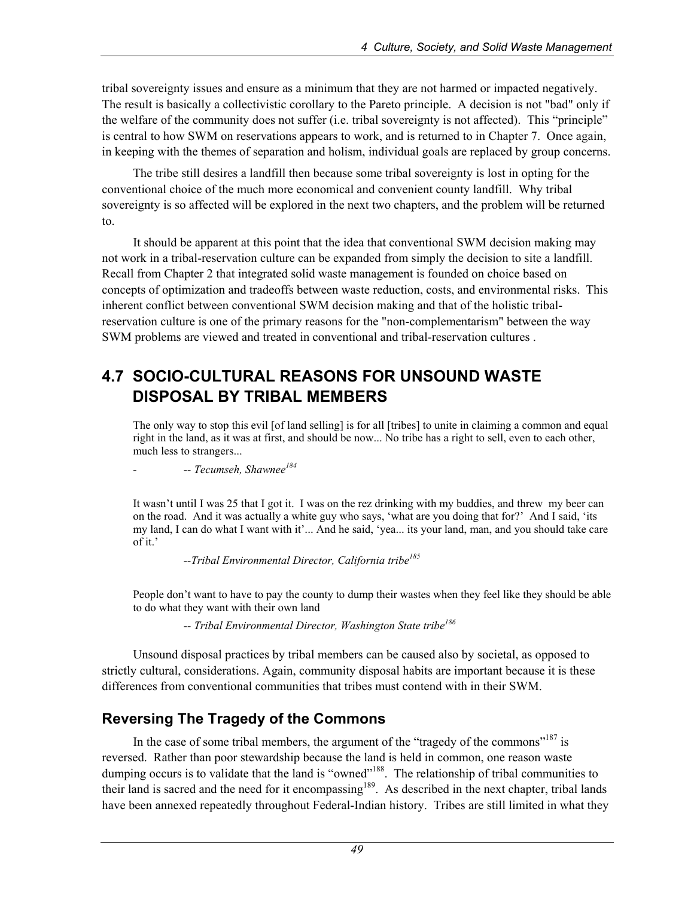tribal sovereignty issues and ensure as a minimum that they are not harmed or impacted negatively. The result is basically a collectivistic corollary to the Pareto principle. A decision is not "bad" only if the welfare of the community does not suffer (i.e. tribal sovereignty is not affected). This "principle" is central to how SWM on reservations appears to work, and is returned to in Chapter 7. Once again, in keeping with the themes of separation and holism, individual goals are replaced by group concerns.

The tribe still desires a landfill then because some tribal sovereignty is lost in opting for the conventional choice of the much more economical and convenient county landfill. Why tribal sovereignty is so affected will be explored in the next two chapters, and the problem will be returned to.

It should be apparent at this point that the idea that conventional SWM decision making may not work in a tribal-reservation culture can be expanded from simply the decision to site a landfill. Recall from Chapter 2 that integrated solid waste management is founded on choice based on concepts of optimization and tradeoffs between waste reduction, costs, and environmental risks. This inherent conflict between conventional SWM decision making and that of the holistic tribalreservation culture is one of the primary reasons for the "non-complementarism" between the way SWM problems are viewed and treated in conventional and tribal-reservation cultures .

# **4.7 SOCIO-CULTURAL REASONS FOR UNSOUND WASTE DISPOSAL BY TRIBAL MEMBERS**

The only way to stop this evil [of land selling] is for all [tribes] to unite in claiming a common and equal right in the land, as it was at first, and should be now... No tribe has a right to sell, even to each other, much less to strangers...

*- -- Tecumseh, Shawnee184*

It wasn't until I was 25 that I got it. I was on the rez drinking with my buddies, and threw my beer can on the road. And it was actually a white guy who says, 'what are you doing that for?' And I said, 'its my land, I can do what I want with it'... And he said, 'yea... its your land, man, and you should take care of it.'

 *--Tribal Environmental Director, California tribe185*

People don't want to have to pay the county to dump their wastes when they feel like they should be able to do what they want with their own land

 *-- Tribal Environmental Director, Washington State tribe186*

Unsound disposal practices by tribal members can be caused also by societal, as opposed to strictly cultural, considerations. Again, community disposal habits are important because it is these differences from conventional communities that tribes must contend with in their SWM.

# **Reversing The Tragedy of the Commons**

In the case of some tribal members, the argument of the "tragedy of the commons"<sup>187</sup> is reversed. Rather than poor stewardship because the land is held in common, one reason waste dumping occurs is to validate that the land is "owned"<sup>188</sup>. The relationship of tribal communities to their land is sacred and the need for it encompassing<sup>189</sup>. As described in the next chapter, tribal lands have been annexed repeatedly throughout Federal-Indian history. Tribes are still limited in what they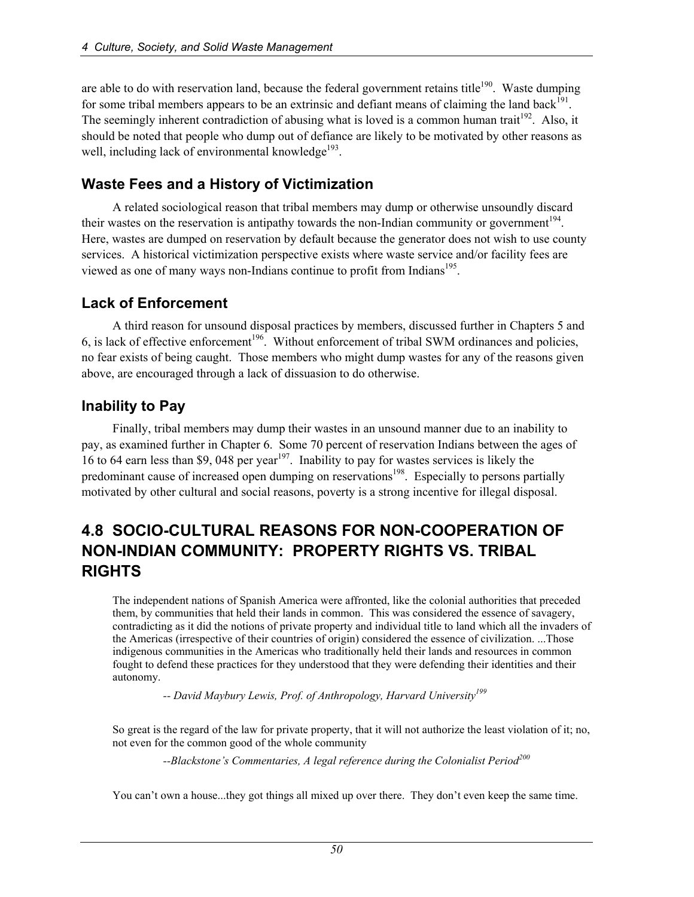are able to do with reservation land, because the federal government retains title<sup>190</sup>. Waste dumping for some tribal members appears to be an extrinsic and defiant means of claiming the land back $191$ . The seemingly inherent contradiction of abusing what is loved is a common human trait<sup>192</sup>. Also, it should be noted that people who dump out of defiance are likely to be motivated by other reasons as well, including lack of environmental knowledge<sup>193</sup>.

## **Waste Fees and a History of Victimization**

A related sociological reason that tribal members may dump or otherwise unsoundly discard their wastes on the reservation is antipathy towards the non-Indian community or government<sup>194</sup>. Here, wastes are dumped on reservation by default because the generator does not wish to use county services. A historical victimization perspective exists where waste service and/or facility fees are viewed as one of many ways non-Indians continue to profit from Indians<sup>195</sup>.

# **Lack of Enforcement**

A third reason for unsound disposal practices by members, discussed further in Chapters 5 and 6, is lack of effective enforcement<sup>196</sup>. Without enforcement of tribal SWM ordinances and policies, no fear exists of being caught. Those members who might dump wastes for any of the reasons given above, are encouraged through a lack of dissuasion to do otherwise.

# **Inability to Pay**

Finally, tribal members may dump their wastes in an unsound manner due to an inability to pay, as examined further in Chapter 6. Some 70 percent of reservation Indians between the ages of 16 to 64 earn less than \$9, 048 per year<sup>197</sup>. Inability to pay for wastes services is likely the predominant cause of increased open dumping on reservations<sup>198</sup>. Especially to persons partially motivated by other cultural and social reasons, poverty is a strong incentive for illegal disposal.

# **4.8 SOCIO-CULTURAL REASONS FOR NON-COOPERATION OF NON-INDIAN COMMUNITY: PROPERTY RIGHTS VS. TRIBAL RIGHTS**

The independent nations of Spanish America were affronted, like the colonial authorities that preceded them, by communities that held their lands in common. This was considered the essence of savagery, contradicting as it did the notions of private property and individual title to land which all the invaders of the Americas (irrespective of their countries of origin) considered the essence of civilization. ...Those indigenous communities in the Americas who traditionally held their lands and resources in common fought to defend these practices for they understood that they were defending their identities and their autonomy.

 *-- David Maybury Lewis, Prof. of Anthropology, Harvard University199*

So great is the regard of the law for private property, that it will not authorize the least violation of it; no, not even for the common good of the whole community

 *--Blackstone's Commentaries, A legal reference during the Colonialist Period200*

You can't own a house...they got things all mixed up over there. They don't even keep the same time.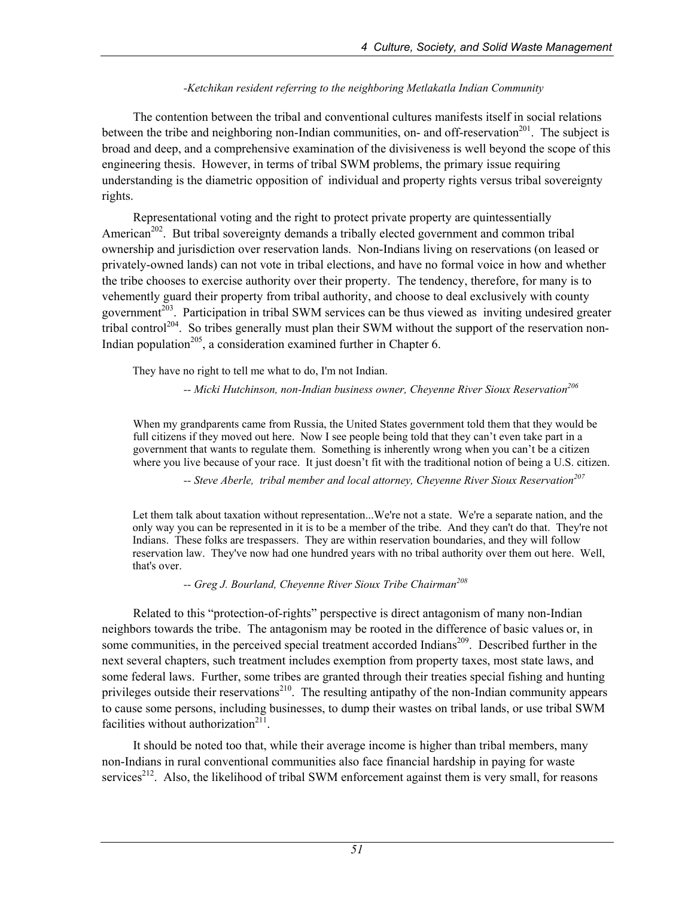#### *-Ketchikan resident referring to the neighboring Metlakatla Indian Community*

The contention between the tribal and conventional cultures manifests itself in social relations between the tribe and neighboring non-Indian communities, on- and off-reservation<sup>201</sup>. The subject is broad and deep, and a comprehensive examination of the divisiveness is well beyond the scope of this engineering thesis. However, in terms of tribal SWM problems, the primary issue requiring understanding is the diametric opposition of individual and property rights versus tribal sovereignty rights.

Representational voting and the right to protect private property are quintessentially American<sup>202</sup>. But tribal sovereignty demands a tribally elected government and common tribal ownership and jurisdiction over reservation lands. Non-Indians living on reservations (on leased or privately-owned lands) can not vote in tribal elections, and have no formal voice in how and whether the tribe chooses to exercise authority over their property. The tendency, therefore, for many is to vehemently guard their property from tribal authority, and choose to deal exclusively with county government<sup>203</sup>. Participation in tribal SWM services can be thus viewed as inviting undesired greater tribal control<sup>204</sup>. So tribes generally must plan their SWM without the support of the reservation non-Indian population<sup>205</sup>, a consideration examined further in Chapter 6.

They have no right to tell me what to do, I'm not Indian.

 *-- Micki Hutchinson, non-Indian business owner, Cheyenne River Sioux Reservation206*

When my grandparents came from Russia, the United States government told them that they would be full citizens if they moved out here. Now I see people being told that they can't even take part in a government that wants to regulate them. Something is inherently wrong when you can't be a citizen where you live because of your race. It just doesn't fit with the traditional notion of being a U.S. citizen.

 *-- Steve Aberle, tribal member and local attorney, Cheyenne River Sioux Reservation207*

Let them talk about taxation without representation...We're not a state. We're a separate nation, and the only way you can be represented in it is to be a member of the tribe. And they can't do that. They're not Indians. These folks are trespassers. They are within reservation boundaries, and they will follow reservation law. They've now had one hundred years with no tribal authority over them out here. Well, that's over.

 *-- Greg J. Bourland, Cheyenne River Sioux Tribe Chairman208*

Related to this "protection-of-rights" perspective is direct antagonism of many non-Indian neighbors towards the tribe. The antagonism may be rooted in the difference of basic values or, in some communities, in the perceived special treatment accorded Indians<sup>209</sup>. Described further in the next several chapters, such treatment includes exemption from property taxes, most state laws, and some federal laws. Further, some tribes are granted through their treaties special fishing and hunting privileges outside their reservations<sup>210</sup>. The resulting antipathy of the non-Indian community appears to cause some persons, including businesses, to dump their wastes on tribal lands, or use tribal SWM facilities without authorization $211$ .

It should be noted too that, while their average income is higher than tribal members, many non-Indians in rural conventional communities also face financial hardship in paying for waste services<sup>212</sup>. Also, the likelihood of tribal SWM enforcement against them is very small, for reasons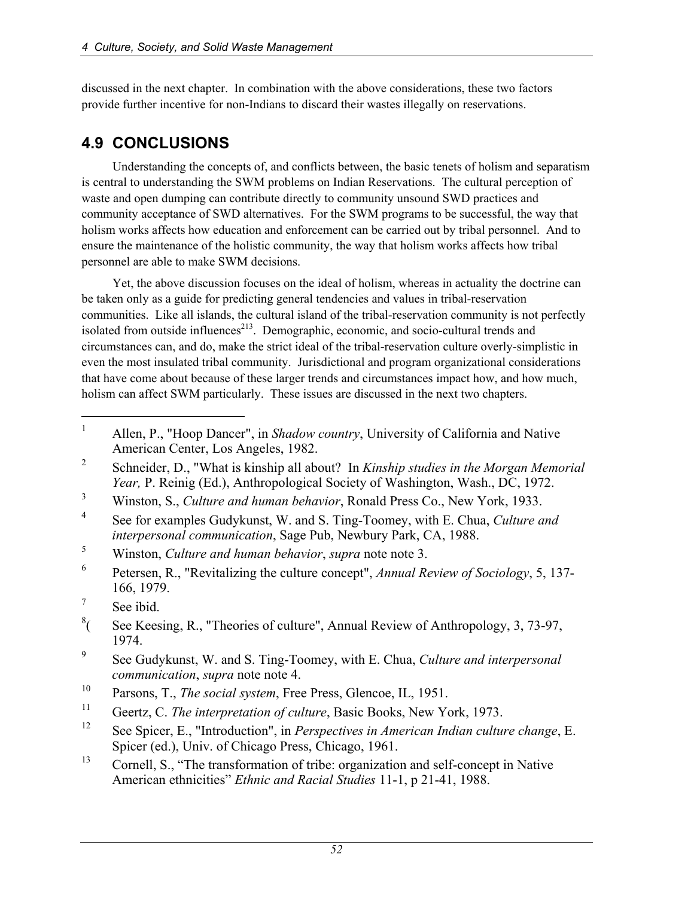discussed in the next chapter. In combination with the above considerations, these two factors provide further incentive for non-Indians to discard their wastes illegally on reservations.

# **4.9 CONCLUSIONS**

Understanding the concepts of, and conflicts between, the basic tenets of holism and separatism is central to understanding the SWM problems on Indian Reservations. The cultural perception of waste and open dumping can contribute directly to community unsound SWD practices and community acceptance of SWD alternatives. For the SWM programs to be successful, the way that holism works affects how education and enforcement can be carried out by tribal personnel. And to ensure the maintenance of the holistic community, the way that holism works affects how tribal personnel are able to make SWM decisions.

Yet, the above discussion focuses on the ideal of holism, whereas in actuality the doctrine can be taken only as a guide for predicting general tendencies and values in tribal-reservation communities. Like all islands, the cultural island of the tribal-reservation community is not perfectly isolated from outside influences $213$ . Demographic, economic, and socio-cultural trends and circumstances can, and do, make the strict ideal of the tribal-reservation culture overly-simplistic in even the most insulated tribal community. Jurisdictional and program organizational considerations that have come about because of these larger trends and circumstances impact how, and how much, holism can affect SWM particularly. These issues are discussed in the next two chapters.

- 3 Winston, S., *Culture and human behavior*, Ronald Press Co., New York, 1933.
- 4 See for examples Gudykunst, W. and S. Ting-Toomey, with E. Chua, *Culture and interpersonal communication*, Sage Pub, Newbury Park, CA, 1988.
- 5 Winston, *Culture and human behavior*, *supra* note note 3.
- 6 Petersen, R., "Revitalizing the culture concept", *Annual Review of Sociology*, 5, 137- 166, 1979.
- 7 See ibid.

l

- $\binom{8}{ }$ See Keesing, R., "Theories of culture", Annual Review of Anthropology, 3, 73-97, 1974.
- 9 See Gudykunst, W. and S. Ting-Toomey, with E. Chua, *Culture and interpersonal communication*, *supra* note note 4.
- 10 Parsons, T., *The social system*, Free Press, Glencoe, IL, 1951.
- <sup>11</sup> Geertz, C. *The interpretation of culture*, Basic Books, New York, 1973.
- 12 See Spicer, E., "Introduction", in *Perspectives in American Indian culture change*, E. Spicer (ed.), Univ. of Chicago Press, Chicago, 1961.
- 13 Cornell, S., "The transformation of tribe: organization and self-concept in Native American ethnicities" *Ethnic and Racial Studies* 11-1, p 21-41, 1988.

<sup>1</sup> Allen, P., "Hoop Dancer", in *Shadow country*, University of California and Native American Center, Los Angeles, 1982.

<sup>2</sup> Schneider, D., "What is kinship all about? In *Kinship studies in the Morgan Memorial Year,* P. Reinig (Ed.), Anthropological Society of Washington, Wash., DC, 1972.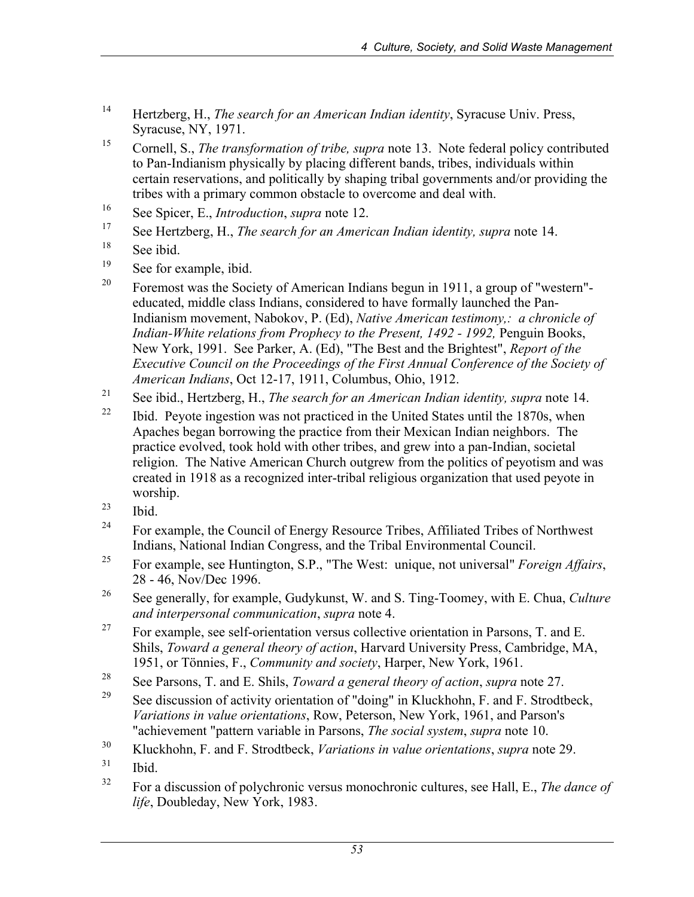- 14 Hertzberg, H., *The search for an American Indian identity*, Syracuse Univ. Press, Syracuse, NY, 1971.
- 15 Cornell, S., *The transformation of tribe, supra* note 13. Note federal policy contributed to Pan-Indianism physically by placing different bands, tribes, individuals within certain reservations, and politically by shaping tribal governments and/or providing the tribes with a primary common obstacle to overcome and deal with.
- 16 See Spicer, E., *Introduction*, *supra* note 12.
- 17 See Hertzberg, H., *The search for an American Indian identity, supra* note 14.
- <sup>18</sup> See ibid.
- <sup>19</sup> See for example, ibid.
- <sup>20</sup> Foremost was the Society of American Indians begun in 1911, a group of "western"educated, middle class Indians, considered to have formally launched the Pan-Indianism movement, Nabokov, P. (Ed), *Native American testimony,: a chronicle of Indian-White relations from Prophecy to the Present, 1492 - 1992,* Penguin Books, New York, 1991. See Parker, A. (Ed), "The Best and the Brightest", *Report of the Executive Council on the Proceedings of the First Annual Conference of the Society of American Indians*, Oct 12-17, 1911, Columbus, Ohio, 1912.
- 21 See ibid., Hertzberg, H., *The search for an American Indian identity, supra* note 14.
- $22$  Ibid. Peyote ingestion was not practiced in the United States until the 1870s, when Apaches began borrowing the practice from their Mexican Indian neighbors. The practice evolved, took hold with other tribes, and grew into a pan-Indian, societal religion. The Native American Church outgrew from the politics of peyotism and was created in 1918 as a recognized inter-tribal religious organization that used peyote in worship.
- $^{23}$  Ibid.
- <sup>24</sup> For example, the Council of Energy Resource Tribes, Affiliated Tribes of Northwest Indians, National Indian Congress, and the Tribal Environmental Council.
- 25 For example, see Huntington, S.P., "The West: unique, not universal" *Foreign Affairs*, 28 - 46, Nov/Dec 1996.
- 26 See generally, for example, Gudykunst, W. and S. Ting-Toomey, with E. Chua, *Culture and interpersonal communication*, *supra* note 4.
- <sup>27</sup> For example, see self-orientation versus collective orientation in Parsons, T. and E. Shils, *Toward a general theory of action*, Harvard University Press, Cambridge, MA, 1951, or Tönnies, F., *Community and society*, Harper, New York, 1961.
- 28 See Parsons, T. and E. Shils, *Toward a general theory of action*, *supra* note 27.
- <sup>29</sup> See discussion of activity orientation of "doing" in Kluckhohn, F. and F. Strodtbeck, *Variations in value orientations*, Row, Peterson, New York, 1961, and Parson's "achievement "pattern variable in Parsons, *The social system*, *supra* note 10.
- 30 Kluckhohn, F. and F. Strodtbeck, *Variations in value orientations*, *supra* note 29.
- $31$  Ibid.
- 32 For a discussion of polychronic versus monochronic cultures, see Hall, E., *The dance of life*, Doubleday, New York, 1983.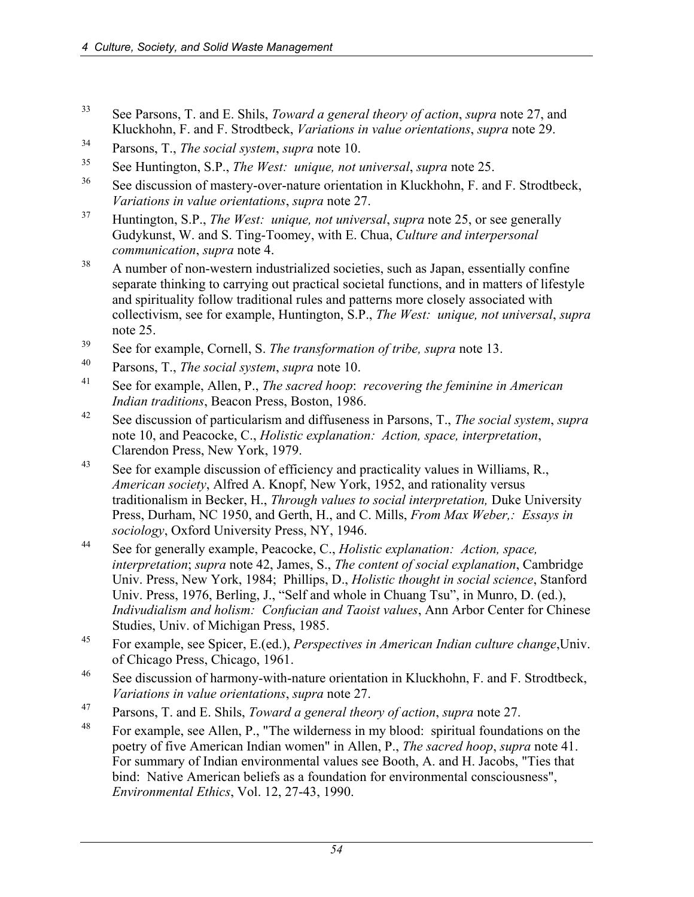- 33 See Parsons, T. and E. Shils, *Toward a general theory of action*, *supra* note 27, and Kluckhohn, F. and F. Strodtbeck, *Variations in value orientations*, *supra* note 29.
- 34 Parsons, T., *The social system*, *supra* note 10.
- 35 See Huntington, S.P., *The West: unique, not universal*, *supra* note 25.
- <sup>36</sup> See discussion of mastery-over-nature orientation in Kluckhohn, F. and F. Strodtbeck, *Variations in value orientations*, *supra* note 27.
- 37 Huntington, S.P., *The West: unique, not universal*, *supra* note 25, or see generally Gudykunst, W. and S. Ting-Toomey, with E. Chua, *Culture and interpersonal communication*, *supra* note 4.
- <sup>38</sup> A number of non-western industrialized societies, such as Japan, essentially confine separate thinking to carrying out practical societal functions, and in matters of lifestyle and spirituality follow traditional rules and patterns more closely associated with collectivism, see for example, Huntington, S.P., *The West: unique, not universal*, *supra*  note 25.
- 39 See for example, Cornell, S. *The transformation of tribe, supra* note 13.
- 40 Parsons, T., *The social system*, *supra* note 10.
- 41 See for example, Allen, P., *The sacred hoop*: *recovering the feminine in American Indian traditions*, Beacon Press, Boston, 1986.
- 42 See discussion of particularism and diffuseness in Parsons, T., *The social system*, *supra*  note 10, and Peacocke, C., *Holistic explanation: Action, space, interpretation*, Clarendon Press, New York, 1979.
- <sup>43</sup> See for example discussion of efficiency and practicality values in Williams, R., *American society*, Alfred A. Knopf, New York, 1952, and rationality versus traditionalism in Becker, H., *Through values to social interpretation,* Duke University Press, Durham, NC 1950, and Gerth, H., and C. Mills, *From Max Weber,: Essays in sociology*, Oxford University Press, NY, 1946.
- 44 See for generally example, Peacocke, C., *Holistic explanation: Action, space, interpretation*; *supra* note 42, James, S., *The content of social explanation*, Cambridge Univ. Press, New York, 1984; Phillips, D., *Holistic thought in social science*, Stanford Univ. Press, 1976, Berling, J., "Self and whole in Chuang Tsu", in Munro, D. (ed.), *Indivudialism and holism: Confucian and Taoist values*, Ann Arbor Center for Chinese Studies, Univ. of Michigan Press, 1985.
- 45 For example, see Spicer, E.(ed.), *Perspectives in American Indian culture change*,Univ. of Chicago Press, Chicago, 1961.
- <sup>46</sup> See discussion of harmony-with-nature orientation in Kluckhohn, F. and F. Strodtbeck, *Variations in value orientations*, *supra* note 27.
- 47 Parsons, T. and E. Shils, *Toward a general theory of action*, *supra* note 27.
- <sup>48</sup> For example, see Allen, P., "The wilderness in my blood: spiritual foundations on the poetry of five American Indian women" in Allen, P., *The sacred hoop*, *supra* note 41. For summary of Indian environmental values see Booth, A. and H. Jacobs, "Ties that bind: Native American beliefs as a foundation for environmental consciousness", *Environmental Ethics*, Vol. 12, 27-43, 1990.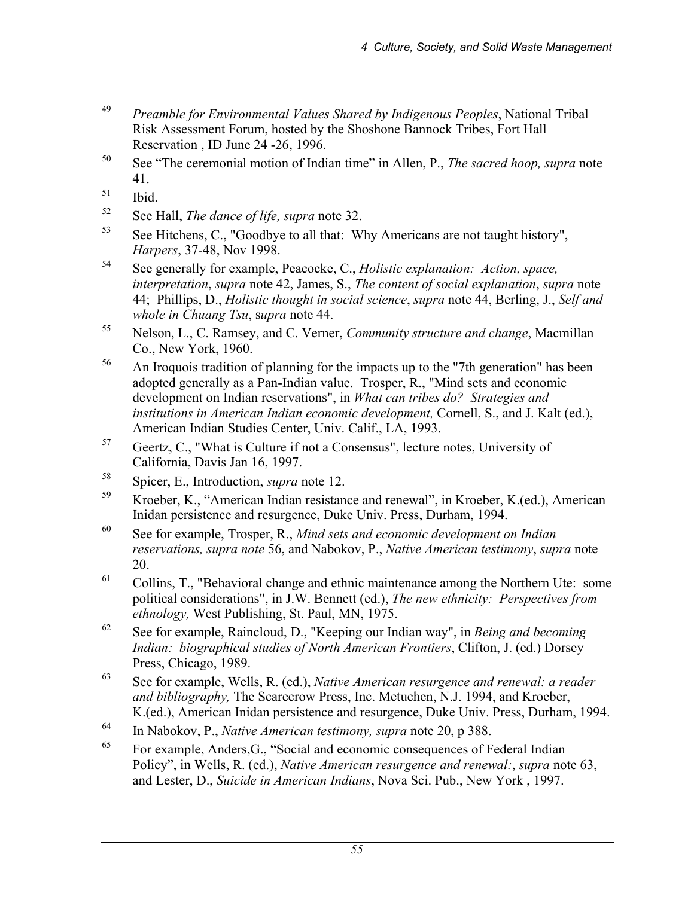- <sup>49</sup> *Preamble for Environmental Values Shared by Indigenous Peoples*, National Tribal Risk Assessment Forum, hosted by the Shoshone Bannock Tribes, Fort Hall Reservation , ID June 24 -26, 1996.
- 50 See "The ceremonial motion of Indian time" in Allen, P., *The sacred hoop, supra* note 41.
- $51$  Ibid.
- 52 See Hall, *The dance of life, supra* note 32.
- 53 See Hitchens, C., "Goodbye to all that: Why Americans are not taught history", *Harpers*, 37-48, Nov 1998.
- 54 See generally for example, Peacocke, C., *Holistic explanation: Action, space, interpretation*, *supra* note 42, James, S., *The content of social explanation*, *supra* note 44; Phillips, D., *Holistic thought in social science*, *supra* note 44, Berling, J., *Self and whole in Chuang Tsu*, s*upra* note 44.
- 55 Nelson, L., C. Ramsey, and C. Verner, *Community structure and change*, Macmillan Co., New York, 1960.
- <sup>56</sup> An Iroquois tradition of planning for the impacts up to the "7th generation" has been adopted generally as a Pan-Indian value. Trosper, R., "Mind sets and economic development on Indian reservations", in *What can tribes do? Strategies and institutions in American Indian economic development,* Cornell, S., and J. Kalt (ed.), American Indian Studies Center, Univ. Calif., LA, 1993.
- $57$  Geertz, C., "What is Culture if not a Consensus", lecture notes, University of California, Davis Jan 16, 1997.
- 58 Spicer, E., Introduction, *supra* note 12.
- 59 Kroeber, K., "American Indian resistance and renewal", in Kroeber, K.(ed.), American Inidan persistence and resurgence, Duke Univ. Press, Durham, 1994.
- 60 See for example, Trosper, R., *Mind sets and economic development on Indian reservations, supra note* 56, and Nabokov, P., *Native American testimony*, *supra* note 20.
- 61 Collins, T., "Behavioral change and ethnic maintenance among the Northern Ute: some political considerations", in J.W. Bennett (ed.), *The new ethnicity: Perspectives from ethnology,* West Publishing, St. Paul, MN, 1975.
- 62 See for example, Raincloud, D., "Keeping our Indian way", in *Being and becoming Indian: biographical studies of North American Frontiers*, Clifton, J. (ed.) Dorsey Press, Chicago, 1989.
- 63 See for example, Wells, R. (ed.), *Native American resurgence and renewal: a reader and bibliography,* The Scarecrow Press, Inc. Metuchen, N.J. 1994, and Kroeber, K.(ed.), American Inidan persistence and resurgence, Duke Univ. Press, Durham, 1994.
- 64 In Nabokov, P., *Native American testimony, supra* note 20, p 388.
- 65 For example, Anders,G., "Social and economic consequences of Federal Indian Policy", in Wells, R. (ed.), *Native American resurgence and renewal:*, *supra* note 63, and Lester, D., *Suicide in American Indians*, Nova Sci. Pub., New York , 1997.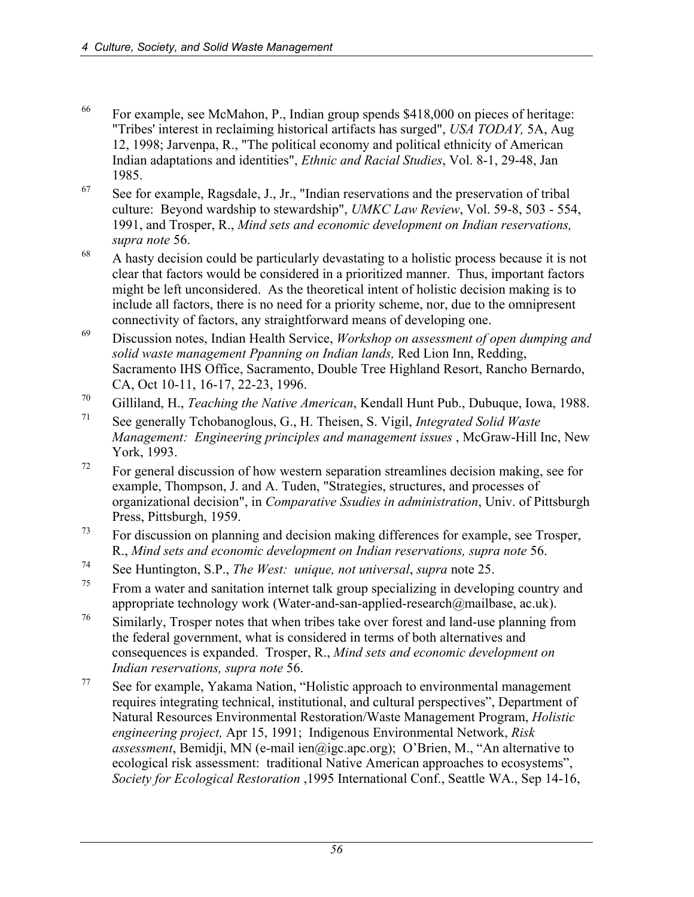- 66 For example, see McMahon, P., Indian group spends \$418,000 on pieces of heritage: "Tribes' interest in reclaiming historical artifacts has surged", *USA TODAY,* 5A, Aug 12, 1998; Jarvenpa, R., "The political economy and political ethnicity of American Indian adaptations and identities", *Ethnic and Racial Studies*, Vol. 8-1, 29-48, Jan 1985.
- 67 See for example, Ragsdale, J., Jr., "Indian reservations and the preservation of tribal culture: Beyond wardship to stewardship", *UMKC Law Review*, Vol. 59-8, 503 - 554, 1991, and Trosper, R., *Mind sets and economic development on Indian reservations, supra note* 56.
- $68$  A hasty decision could be particularly devastating to a holistic process because it is not clear that factors would be considered in a prioritized manner. Thus, important factors might be left unconsidered. As the theoretical intent of holistic decision making is to include all factors, there is no need for a priority scheme, nor, due to the omnipresent connectivity of factors, any straightforward means of developing one.
- 69 Discussion notes, Indian Health Service, *Workshop on assessment of open dumping and solid waste management Ppanning on Indian lands,* Red Lion Inn, Redding, Sacramento IHS Office, Sacramento, Double Tree Highland Resort, Rancho Bernardo, CA, Oct 10-11, 16-17, 22-23, 1996.
- 70 Gilliland, H., *Teaching the Native American*, Kendall Hunt Pub., Dubuque, Iowa, 1988.
- 71 See generally Tchobanoglous, G., H. Theisen, S. Vigil, *Integrated Solid Waste Management: Engineering principles and management issues* , McGraw-Hill Inc, New York, 1993.
- $72$  For general discussion of how western separation streamlines decision making, see for example, Thompson, J. and A. Tuden, "Strategies, structures, and processes of organizational decision", in *Comparative Ssudies in administration*, Univ. of Pittsburgh Press, Pittsburgh, 1959.
- 73 For discussion on planning and decision making differences for example, see Trosper, R., *Mind sets and economic development on Indian reservations, supra note* 56.
- 74 See Huntington, S.P., *The West: unique, not universal*, *supra* note 25.
- $75$  From a water and sanitation internet talk group specializing in developing country and appropriate technology work (Water-and-san-applied-research@mailbase, ac.uk).
- <sup>76</sup> Similarly, Trosper notes that when tribes take over forest and land-use planning from the federal government, what is considered in terms of both alternatives and consequences is expanded. Trosper, R., *Mind sets and economic development on Indian reservations, supra note* 56.
- $77$  See for example, Yakama Nation, "Holistic approach to environmental management requires integrating technical, institutional, and cultural perspectives", Department of Natural Resources Environmental Restoration/Waste Management Program, *Holistic engineering project,* Apr 15, 1991; Indigenous Environmental Network, *Risk assessment*, Bemidji, MN (e-mail ien@igc.apc.org); O'Brien, M., "An alternative to ecological risk assessment: traditional Native American approaches to ecosystems", *Society for Ecological Restoration* ,1995 International Conf., Seattle WA., Sep 14-16,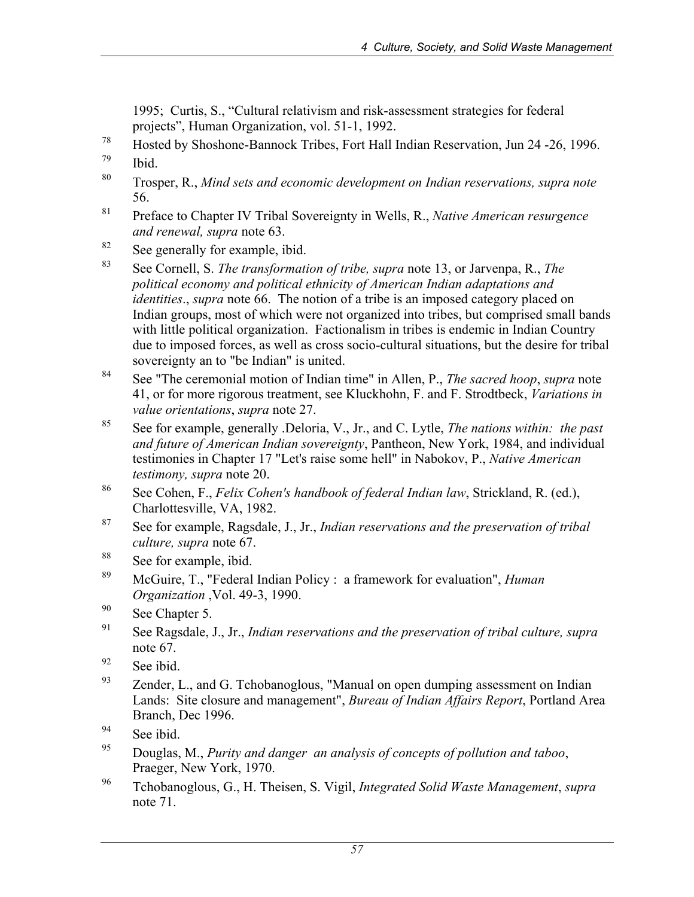1995; Curtis, S., "Cultural relativism and risk-assessment strategies for federal projects", Human Organization, vol. 51-1, 1992.

- 78 Hosted by Shoshone-Bannock Tribes, Fort Hall Indian Reservation, Jun 24 -26, 1996.  $79$  Ibid.
- 80 Trosper, R., *Mind sets and economic development on Indian reservations, supra note*  56.
- 81 Preface to Chapter IV Tribal Sovereignty in Wells, R., *Native American resurgence and renewal, supra* note 63.
- <sup>82</sup> See generally for example, ibid.
- 83 See Cornell, S. *The transformation of tribe, supra* note 13, or Jarvenpa, R., *The political economy and political ethnicity of American Indian adaptations and identities*., *supra* note 66. The notion of a tribe is an imposed category placed on Indian groups, most of which were not organized into tribes, but comprised small bands with little political organization. Factionalism in tribes is endemic in Indian Country due to imposed forces, as well as cross socio-cultural situations, but the desire for tribal sovereignty an to "be Indian" is united.
- 84 See "The ceremonial motion of Indian time" in Allen, P., *The sacred hoop*, *supra* note 41, or for more rigorous treatment, see Kluckhohn, F. and F. Strodtbeck, *Variations in value orientations*, *supra* note 27.
- 85 See for example, generally .Deloria, V., Jr., and C. Lytle, *The nations within: the past and future of American Indian sovereignty*, Pantheon, New York, 1984, and individual testimonies in Chapter 17 "Let's raise some hell" in Nabokov, P., *Native American testimony, supra* note 20.
- 86 See Cohen, F., *Felix Cohen's handbook of federal Indian law*, Strickland, R. (ed.), Charlottesville, VA, 1982.
- 87 See for example, Ragsdale, J., Jr., *Indian reservations and the preservation of tribal culture, supra* note 67.
- 88 See for example, ibid.
- 89 McGuire, T., "Federal Indian Policy : a framework for evaluation", *Human Organization* ,Vol. 49-3, 1990.
- <sup>90</sup> See Chapter 5.
- 91 See Ragsdale, J., Jr., *Indian reservations and the preservation of tribal culture, supra* note 67.
- $92$  See ibid.
- $^{93}$  Zender, L., and G. Tchobanoglous, "Manual on open dumping assessment on Indian Lands: Site closure and management", *Bureau of Indian Affairs Report*, Portland Area Branch, Dec 1996.
- <sup>94</sup> See ibid.
- 95 Douglas, M., *Purity and danger an analysis of concepts of pollution and taboo*, Praeger, New York, 1970.
- 96 Tchobanoglous, G., H. Theisen, S. Vigil, *Integrated Solid Waste Management*, *supra* note 71.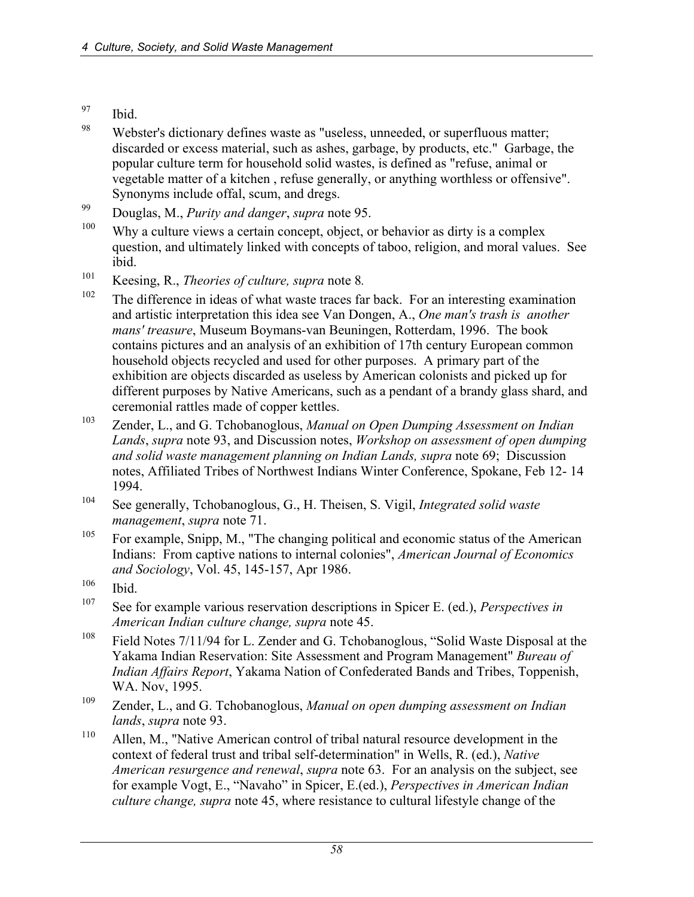- 97 Ibid.
- <sup>98</sup> Webster's dictionary defines waste as "useless, unneeded, or superfluous matter; discarded or excess material, such as ashes, garbage, by products, etc." Garbage, the popular culture term for household solid wastes, is defined as "refuse, animal or vegetable matter of a kitchen , refuse generally, or anything worthless or offensive". Synonyms include offal, scum, and dregs.
- 99 Douglas, M., *Purity and danger*, *supra* note 95.
- <sup>100</sup> Why a culture views a certain concept, object, or behavior as dirty is a complex question, and ultimately linked with concepts of taboo, religion, and moral values. See ibid.
- 101 Keesing, R., *Theories of culture, supra* note 8*.*
- <sup>102</sup> The difference in ideas of what waste traces far back. For an interesting examination and artistic interpretation this idea see Van Dongen, A., *One man's trash is another mans' treasure*, Museum Boymans-van Beuningen, Rotterdam, 1996. The book contains pictures and an analysis of an exhibition of 17th century European common household objects recycled and used for other purposes. A primary part of the exhibition are objects discarded as useless by American colonists and picked up for different purposes by Native Americans, such as a pendant of a brandy glass shard, and ceremonial rattles made of copper kettles.
- 103 Zender, L., and G. Tchobanoglous, *Manual on Open Dumping Assessment on Indian Lands*, *supra* note 93, and Discussion notes, *Workshop on assessment of open dumping and solid waste management planning on Indian Lands, supra* note 69; Discussion notes, Affiliated Tribes of Northwest Indians Winter Conference, Spokane, Feb 12- 14 1994.
- 104 See generally, Tchobanoglous, G., H. Theisen, S. Vigil, *Integrated solid waste management*, *supra* note 71.
- <sup>105</sup> For example, Snipp, M., "The changing political and economic status of the American Indians: From captive nations to internal colonies", *American Journal of Economics and Sociology*, Vol. 45, 145-157, Apr 1986.

- 107 See for example various reservation descriptions in Spicer E. (ed.), *Perspectives in American Indian culture change, supra* note 45.
- <sup>108</sup> Field Notes 7/11/94 for L. Zender and G. Tchobanoglous, "Solid Waste Disposal at the Yakama Indian Reservation: Site Assessment and Program Management" *Bureau of Indian Affairs Report*, Yakama Nation of Confederated Bands and Tribes, Toppenish, WA. Nov, 1995.
- 109 Zender, L., and G. Tchobanoglous, *Manual on open dumping assessment on Indian lands*, *supra* note 93.
- 110 Allen, M., "Native American control of tribal natural resource development in the context of federal trust and tribal self-determination" in Wells, R. (ed.), *Native American resurgence and renewal*, *supra* note 63. For an analysis on the subject, see for example Vogt, E., "Navaho" in Spicer, E.(ed.), *Perspectives in American Indian culture change, supra* note 45, where resistance to cultural lifestyle change of the

<sup>106</sup> Ibid.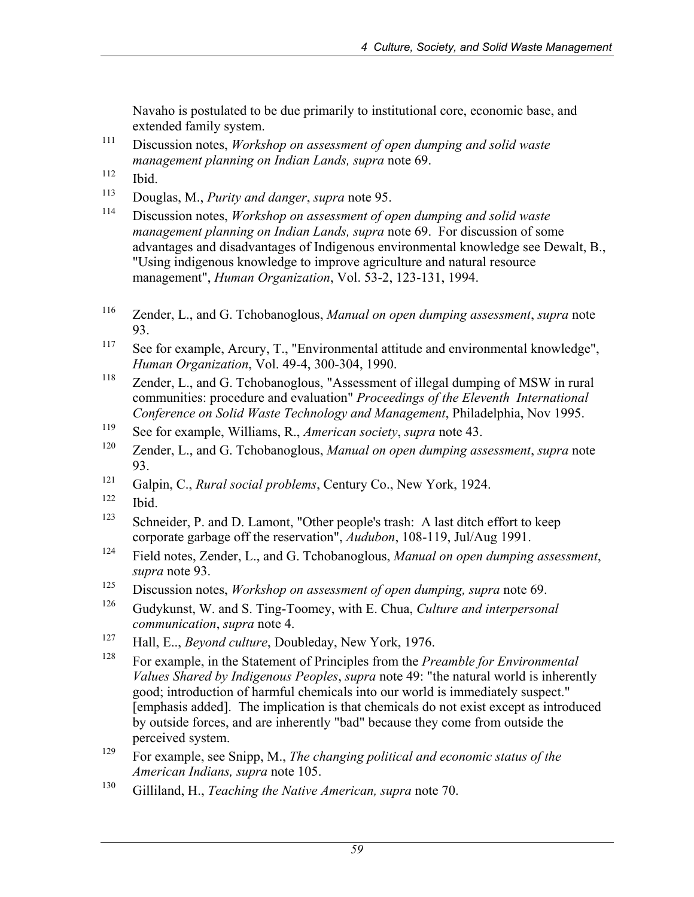Navaho is postulated to be due primarily to institutional core, economic base, and extended family system.

- 111 Discussion notes, *Workshop on assessment of open dumping and solid waste management planning on Indian Lands, supra* note 69.
- $112$  Ibid.
- 113 Douglas, M., *Purity and danger*, *supra* note 95.
- 114 Discussion notes, *Workshop on assessment of open dumping and solid waste management planning on Indian Lands, supra* note 69. For discussion of some advantages and disadvantages of Indigenous environmental knowledge see Dewalt, B., "Using indigenous knowledge to improve agriculture and natural resource management", *Human Organization*, Vol. 53-2, 123-131, 1994.
- 116 Zender, L., and G. Tchobanoglous, *Manual on open dumping assessment*, *supra* note 93.
- <sup>117</sup> See for example, Arcury, T., "Environmental attitude and environmental knowledge", *Human Organization*, Vol. 49-4, 300-304, 1990.
- 118 Zender, L., and G. Tchobanoglous, "Assessment of illegal dumping of MSW in rural communities: procedure and evaluation" *Proceedings of the Eleventh International Conference on Solid Waste Technology and Management*, Philadelphia, Nov 1995.
- 119 See for example, Williams, R., *American society*, *supra* note 43.
- 120 Zender, L., and G. Tchobanoglous, *Manual on open dumping assessment*, *supra* note 93.
- 121 Galpin, C., *Rural social problems*, Century Co., New York, 1924.
- 122 Ibid.
- 123 Schneider, P. and D. Lamont, "Other people's trash: A last ditch effort to keep corporate garbage off the reservation", *Audubon*, 108-119, Jul/Aug 1991.
- 124 Field notes, Zender, L., and G. Tchobanoglous, *Manual on open dumping assessment*, *supra* note 93.
- 125 Discussion notes, *Workshop on assessment of open dumping, supra* note 69.
- 126 Gudykunst, W. and S. Ting-Toomey, with E. Chua, *Culture and interpersonal communication*, *supra* note 4.
- 127 Hall, E.., *Beyond culture*, Doubleday, New York, 1976.
- 128 For example, in the Statement of Principles from the *Preamble for Environmental Values Shared by Indigenous Peoples*, *supra* note 49: "the natural world is inherently good; introduction of harmful chemicals into our world is immediately suspect." [emphasis added]. The implication is that chemicals do not exist except as introduced by outside forces, and are inherently "bad" because they come from outside the perceived system.
- 129 For example, see Snipp, M., *The changing political and economic status of the American Indians, supra* note 105.
- 130 Gilliland, H., *Teaching the Native American, supra* note 70.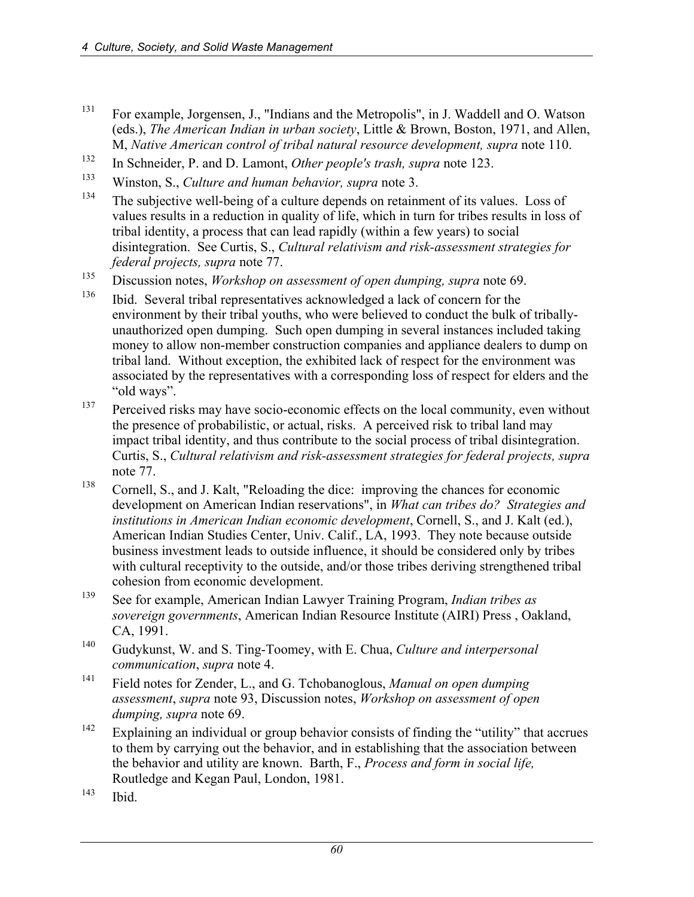- 131 For example, Jorgensen, J., "Indians and the Metropolis", in J. Waddell and O. Watson (eds.), *The American Indian in urban society*, Little & Brown, Boston, 1971, and Allen, M, *Native American control of tribal natural resource development, supra* note 110.
- 132 In Schneider, P. and D. Lamont, *Other people's trash, supra* note 123.
- 133 Winston, S., *Culture and human behavior, supra* note 3.
- <sup>134</sup> The subjective well-being of a culture depends on retainment of its values. Loss of values results in a reduction in quality of life, which in turn for tribes results in loss of tribal identity, a process that can lead rapidly (within a few years) to social disintegration. See Curtis, S., *Cultural relativism and risk-assessment strategies for federal projects, supra* note 77.
- 135 Discussion notes, *Workshop on assessment of open dumping, supra* note 69.
- <sup>136</sup> Ibid. Several tribal representatives acknowledged a lack of concern for the environment by their tribal youths, who were believed to conduct the bulk of triballyunauthorized open dumping. Such open dumping in several instances included taking money to allow non-member construction companies and appliance dealers to dump on tribal land. Without exception, the exhibited lack of respect for the environment was associated by the representatives with a corresponding loss of respect for elders and the "old ways".
- <sup>137</sup> Perceived risks may have socio-economic effects on the local community, even without the presence of probabilistic, or actual, risks. A perceived risk to tribal land may impact tribal identity, and thus contribute to the social process of tribal disintegration. Curtis, S., *Cultural relativism and risk-assessment strategies for federal projects, supra* note 77.
- 138 Cornell, S., and J. Kalt, "Reloading the dice: improving the chances for economic development on American Indian reservations", in *What can tribes do? Strategies and institutions in American Indian economic development*, Cornell, S., and J. Kalt (ed.), American Indian Studies Center, Univ. Calif., LA, 1993. They note because outside business investment leads to outside influence, it should be considered only by tribes with cultural receptivity to the outside, and/or those tribes deriving strengthened tribal cohesion from economic development.
- 139 See for example, American Indian Lawyer Training Program, *Indian tribes as sovereign governments*, American Indian Resource Institute (AIRI) Press , Oakland, CA, 1991.
- 140 Gudykunst, W. and S. Ting-Toomey, with E. Chua, *Culture and interpersonal communication*, *supra* note 4.
- 141 Field notes for Zender, L., and G. Tchobanoglous, *Manual on open dumping assessment*, *supra* note 93, Discussion notes, *Workshop on assessment of open dumping, supra* note 69.
- <sup>142</sup> Explaining an individual or group behavior consists of finding the "utility" that accrues to them by carrying out the behavior, and in establishing that the association between the behavior and utility are known. Barth, F., *Process and form in social life,*  Routledge and Kegan Paul, London, 1981.
- 143 Ibid.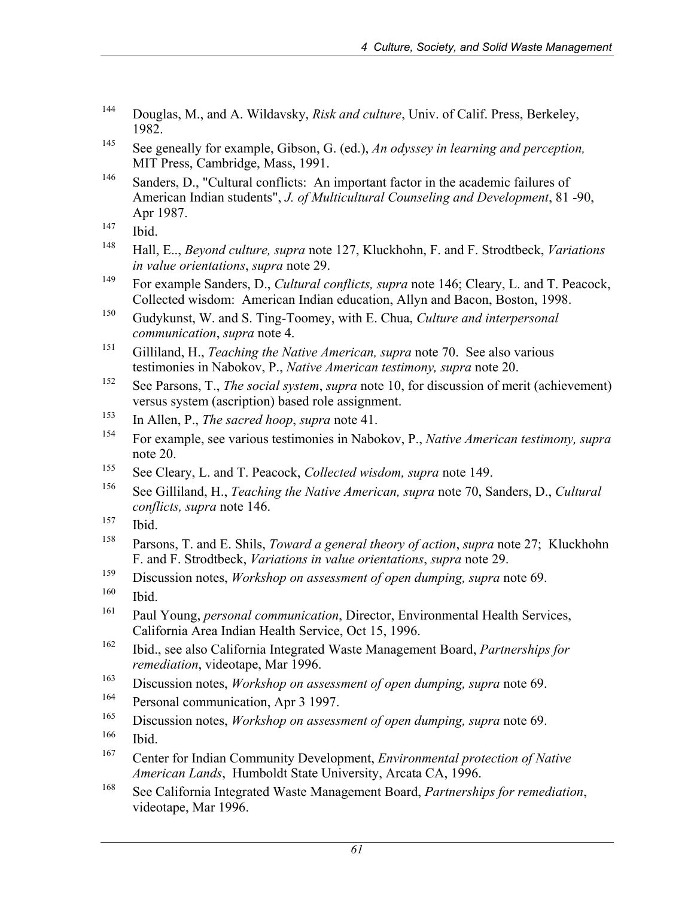- 144 Douglas, M., and A. Wildavsky, *Risk and culture*, Univ. of Calif. Press, Berkeley, 1982.
- 145 See geneally for example, Gibson, G. (ed.), *An odyssey in learning and perception,*  MIT Press, Cambridge, Mass, 1991.
- 146 Sanders, D., "Cultural conflicts: An important factor in the academic failures of American Indian students", *J. of Multicultural Counseling and Development*, 81 -90, Apr 1987.
- 147 Ibid.
- 148 Hall, E.., *Beyond culture, supra* note 127, Kluckhohn, F. and F. Strodtbeck, *Variations in value orientations*, *supra* note 29.
- 149 For example Sanders, D., *Cultural conflicts, supra* note 146; Cleary, L. and T. Peacock, Collected wisdom: American Indian education, Allyn and Bacon, Boston, 1998.
- 150 Gudykunst, W. and S. Ting-Toomey, with E. Chua, *Culture and interpersonal communication*, *supra* note 4.
- 151 Gilliland, H., *Teaching the Native American, supra* note 70. See also various testimonies in Nabokov, P., *Native American testimony, supra* note 20.
- 152 See Parsons, T., *The social system*, *supra* note 10, for discussion of merit (achievement) versus system (ascription) based role assignment.
- 153 In Allen, P., *The sacred hoop*, *supra* note 41.
- 154 For example, see various testimonies in Nabokov, P., *Native American testimony, supra* note 20.
- 155 See Cleary, L. and T. Peacock, *Collected wisdom, supra* note 149.
- 156 See Gilliland, H., *Teaching the Native American, supra* note 70, Sanders, D., *Cultural conflicts, supra* note 146.
- 157 Ibid.
- 158 Parsons, T. and E. Shils, *Toward a general theory of action*, *supra* note 27; Kluckhohn F. and F. Strodtbeck, *Variations in value orientations*, *supra* note 29.
- 159 Discussion notes, *Workshop on assessment of open dumping, supra* note 69.
- 160 Ibid.
- 161 Paul Young, *personal communication*, Director, Environmental Health Services, California Area Indian Health Service, Oct 15, 1996.
- 162 Ibid., see also California Integrated Waste Management Board, *Partnerships for remediation*, videotape, Mar 1996.
- 163 Discussion notes, *Workshop on assessment of open dumping, supra* note 69.
- 164 Personal communication, Apr 3 1997.
- 165 Discussion notes, *Workshop on assessment of open dumping, supra* note 69.
- 166 Ibid.
- 167 Center for Indian Community Development, *Environmental protection of Native American Lands*, Humboldt State University, Arcata CA, 1996.
- 168 See California Integrated Waste Management Board, *Partnerships for remediation*, videotape, Mar 1996.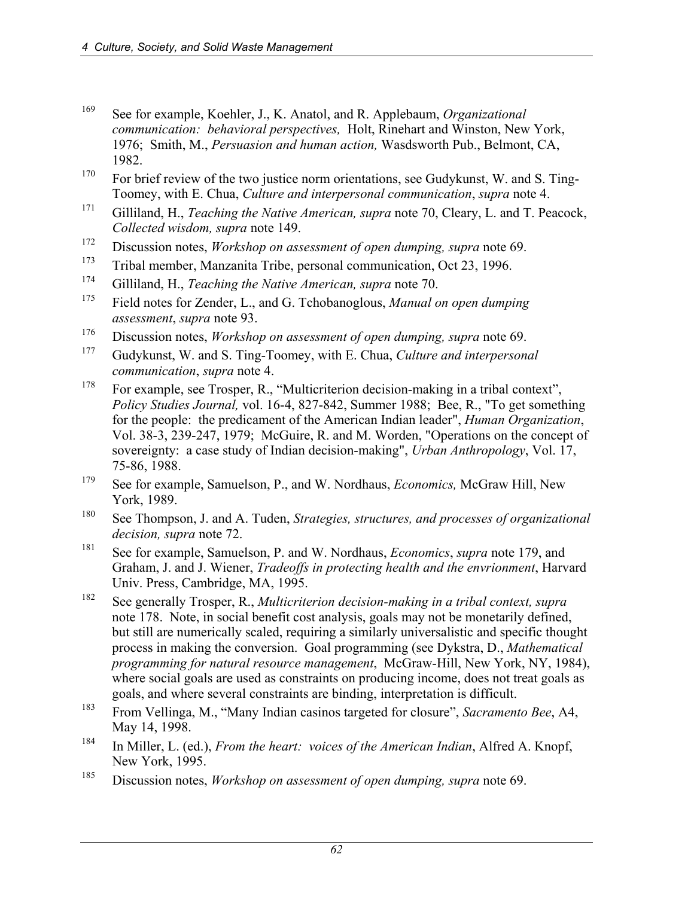- 169 See for example, Koehler, J., K. Anatol, and R. Applebaum, *Organizational communication: behavioral perspectives,* Holt, Rinehart and Winston, New York, 1976; Smith, M., *Persuasion and human action,* Wasdsworth Pub., Belmont, CA, 1982.
- <sup>170</sup> For brief review of the two justice norm orientations, see Gudykunst, W. and S. Ting-Toomey, with E. Chua, *Culture and interpersonal communication*, *supra* note 4.
- 171 Gilliland, H., *Teaching the Native American, supra* note 70, Cleary, L. and T. Peacock, *Collected wisdom, supra* note 149.
- 172 Discussion notes, *Workshop on assessment of open dumping, supra* note 69.
- 173 Tribal member, Manzanita Tribe, personal communication, Oct 23, 1996.
- 174 Gilliland, H., *Teaching the Native American, supra* note 70.
- 175 Field notes for Zender, L., and G. Tchobanoglous, *Manual on open dumping assessment*, *supra* note 93.
- 176 Discussion notes, *Workshop on assessment of open dumping, supra* note 69.
- 177 Gudykunst, W. and S. Ting-Toomey, with E. Chua, *Culture and interpersonal communication*, *supra* note 4.
- <sup>178</sup> For example, see Trosper, R., "Multicriterion decision-making in a tribal context", *Policy Studies Journal,* vol. 16-4, 827-842, Summer 1988; Bee, R., "To get something for the people: the predicament of the American Indian leader", *Human Organization*, Vol. 38-3, 239-247, 1979; McGuire, R. and M. Worden, "Operations on the concept of sovereignty: a case study of Indian decision-making", *Urban Anthropology*, Vol. 17, 75-86, 1988.
- 179 See for example, Samuelson, P., and W. Nordhaus, *Economics,* McGraw Hill, New York, 1989.
- 180 See Thompson, J. and A. Tuden, *Strategies, structures, and processes of organizational decision, supra* note 72.
- 181 See for example, Samuelson, P. and W. Nordhaus, *Economics*, *supra* note 179, and Graham, J. and J. Wiener, *Tradeoffs in protecting health and the envrionment*, Harvard Univ. Press, Cambridge, MA, 1995.
- 182 See generally Trosper, R., *Multicriterion decision-making in a tribal context, supra* note 178. Note, in social benefit cost analysis, goals may not be monetarily defined, but still are numerically scaled, requiring a similarly universalistic and specific thought process in making the conversion. Goal programming (see Dykstra, D., *Mathematical programming for natural resource management*, McGraw-Hill, New York, NY, 1984), where social goals are used as constraints on producing income, does not treat goals as goals, and where several constraints are binding, interpretation is difficult.
- 183 From Vellinga, M., "Many Indian casinos targeted for closure", *Sacramento Bee*, A4, May 14, 1998.
- 184 In Miller, L. (ed.), *From the heart: voices of the American Indian*, Alfred A. Knopf, New York, 1995.
- 185 Discussion notes, *Workshop on assessment of open dumping, supra* note 69.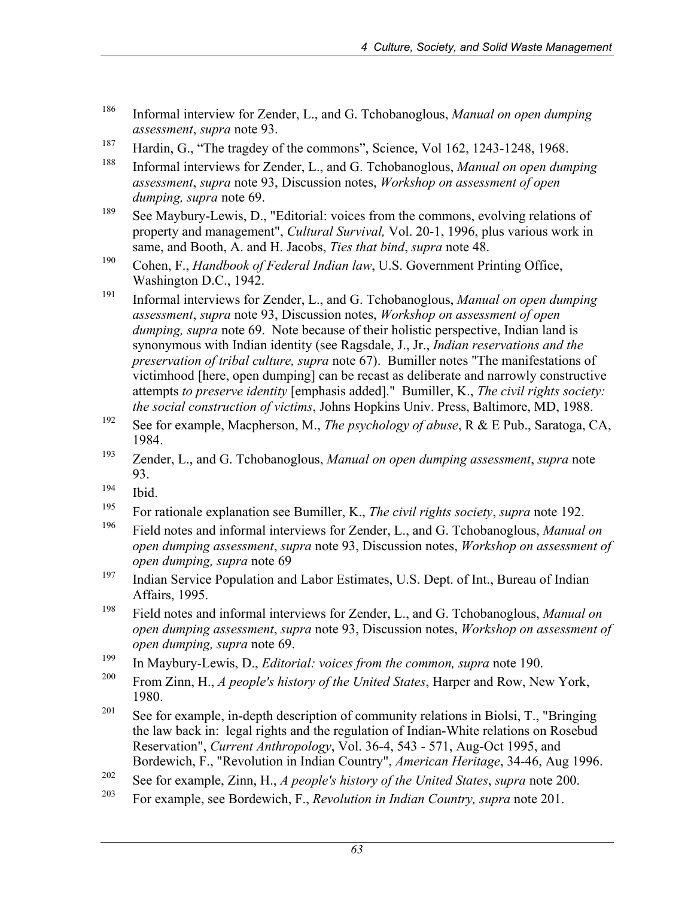- 186 Informal interview for Zender, L., and G. Tchobanoglous, *Manual on open dumping assessment*, *supra* note 93.
- <sup>187</sup> Hardin, G., "The tragdey of the commons", Science, Vol 162, 1243-1248, 1968.
- 188 Informal interviews for Zender, L., and G. Tchobanoglous, *Manual on open dumping assessment*, *supra* note 93, Discussion notes, *Workshop on assessment of open dumping, supra* note 69.
- 189 See Maybury-Lewis, D., "Editorial: voices from the commons, evolving relations of property and management", *Cultural Survival,* Vol. 20-1, 1996, plus various work in same, and Booth, A. and H. Jacobs, *Ties that bind*, *supra* note 48.
- 190 Cohen, F., *Handbook of Federal Indian law*, U.S. Government Printing Office, Washington D.C., 1942.
- 191 Informal interviews for Zender, L., and G. Tchobanoglous, *Manual on open dumping assessment*, *supra* note 93, Discussion notes, *Workshop on assessment of open dumping, supra* note 69. Note because of their holistic perspective, Indian land is synonymous with Indian identity (see Ragsdale, J., Jr., *Indian reservations and the preservation of tribal culture, supra* note 67). Bumiller notes "The manifestations of victimhood [here, open dumping] can be recast as deliberate and narrowly constructive attempts *to preserve identity* [emphasis added]." Bumiller, K., *The civil rights society: the social construction of victims*, Johns Hopkins Univ. Press, Baltimore, MD, 1988.
- 192 See for example, Macpherson, M., *The psychology of abuse*, R & E Pub., Saratoga, CA, 1984.
- 193 Zender, L., and G. Tchobanoglous, *Manual on open dumping assessment*, *supra* note 93.
- 194 Ibid.
- 195 For rationale explanation see Bumiller, K., *The civil rights society*, *supra* note 192.
- 196 Field notes and informal interviews for Zender, L., and G. Tchobanoglous, *Manual on open dumping assessment*, *supra* note 93, Discussion notes, *Workshop on assessment of open dumping, supra* note 69
- <sup>197</sup> Indian Service Population and Labor Estimates, U.S. Dept. of Int., Bureau of Indian Affairs, 1995.
- 198 Field notes and informal interviews for Zender, L., and G. Tchobanoglous, *Manual on open dumping assessment*, *supra* note 93, Discussion notes, *Workshop on assessment of open dumping, supra* note 69.
- 199 In Maybury-Lewis, D., *Editorial: voices from the common, supra* note 190.
- 200 From Zinn, H., *A people's history of the United States*, Harper and Row, New York, 1980.
- <sup>201</sup> See for example, in-depth description of community relations in Biolsi, T., "Bringing" the law back in: legal rights and the regulation of Indian-White relations on Rosebud Reservation", *Current Anthropology*, Vol. 36-4, 543 - 571, Aug-Oct 1995, and Bordewich, F., "Revolution in Indian Country", *American Heritage*, 34-46, Aug 1996.
- 202 See for example, Zinn, H., *A people's history of the United States*, *supra* note 200.
- 203 For example, see Bordewich, F., *Revolution in Indian Country, supra* note 201.